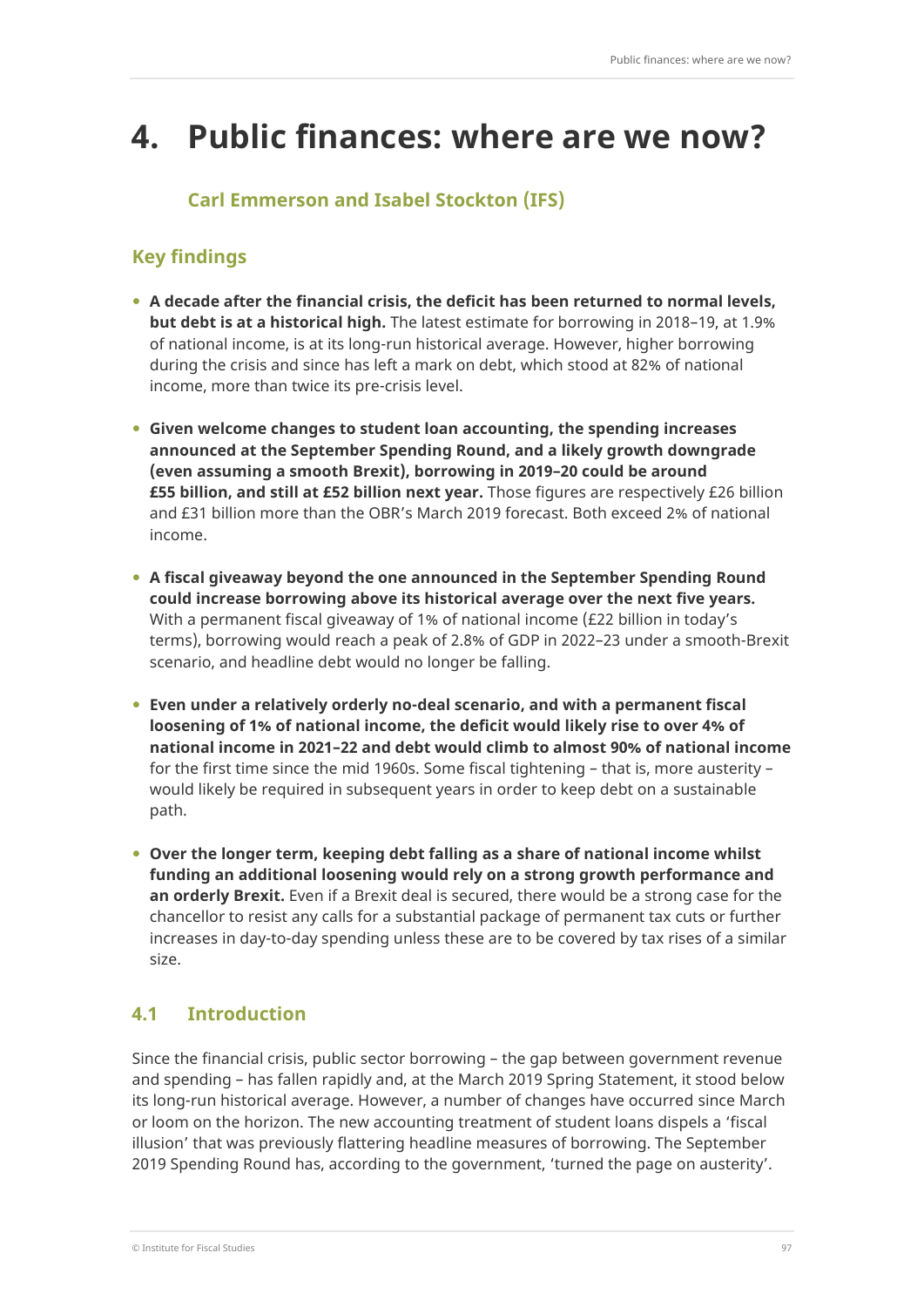# **4. Public finances: where are we now?**

# **Carl Emmerson and Isabel Stockton (IFS)**

## **Key findings**

- **A decade after the financial crisis, the deficit has been returned to normal levels, but debt is at a historical high.** The latest estimate for borrowing in 2018–19, at 1.9% of national income, is at its long-run historical average. However, higher borrowing during the crisis and since has left a mark on debt, which stood at 82% of national income, more than twice its pre-crisis level.
- **Given welcome changes to student loan accounting, the spending increases announced at the September Spending Round, and a likely growth downgrade (even assuming a smooth Brexit), borrowing in 2019–20 could be around £55 billion, and still at £52 billion next year.** Those figures are respectively £26 billion and £31 billion more than the OBR's March 2019 forecast. Both exceed 2% of national income.
- **A fiscal giveaway beyond the one announced in the September Spending Round could increase borrowing above its historical average over the next five years.**  With a permanent fiscal giveaway of 1% of national income (£22 billion in today's terms), borrowing would reach a peak of 2.8% of GDP in 2022–23 under a smooth-Brexit scenario, and headline debt would no longer be falling.
- **Even under a relatively orderly no-deal scenario, and with a permanent fiscal loosening of 1% of national income, the deficit would likely rise to over 4% of national income in 2021–22 and debt would climb to almost 90% of national income** for the first time since the mid 1960s. Some fiscal tightening – that is, more austerity – would likely be required in subsequent years in order to keep debt on a sustainable path.
- **Over the longer term, keeping debt falling as a share of national income whilst funding an additional loosening would rely on a strong growth performance and an orderly Brexit.** Even if a Brexit deal is secured, there would be a strong case for the chancellor to resist any calls for a substantial package of permanent tax cuts or further increases in day-to-day spending unless these are to be covered by tax rises of a similar size.

# **4.1 Introduction**

Since the financial crisis, public sector borrowing – the gap between government revenue and spending – has fallen rapidly and, at the March 2019 Spring Statement, it stood below its long-run historical average. However, a number of changes have occurred since March or loom on the horizon. The new accounting treatment of student loans dispels a 'fiscal illusion' that was previously flattering headline measures of borrowing. The September 2019 Spending Round has, according to the government, 'turned the page on austerity'.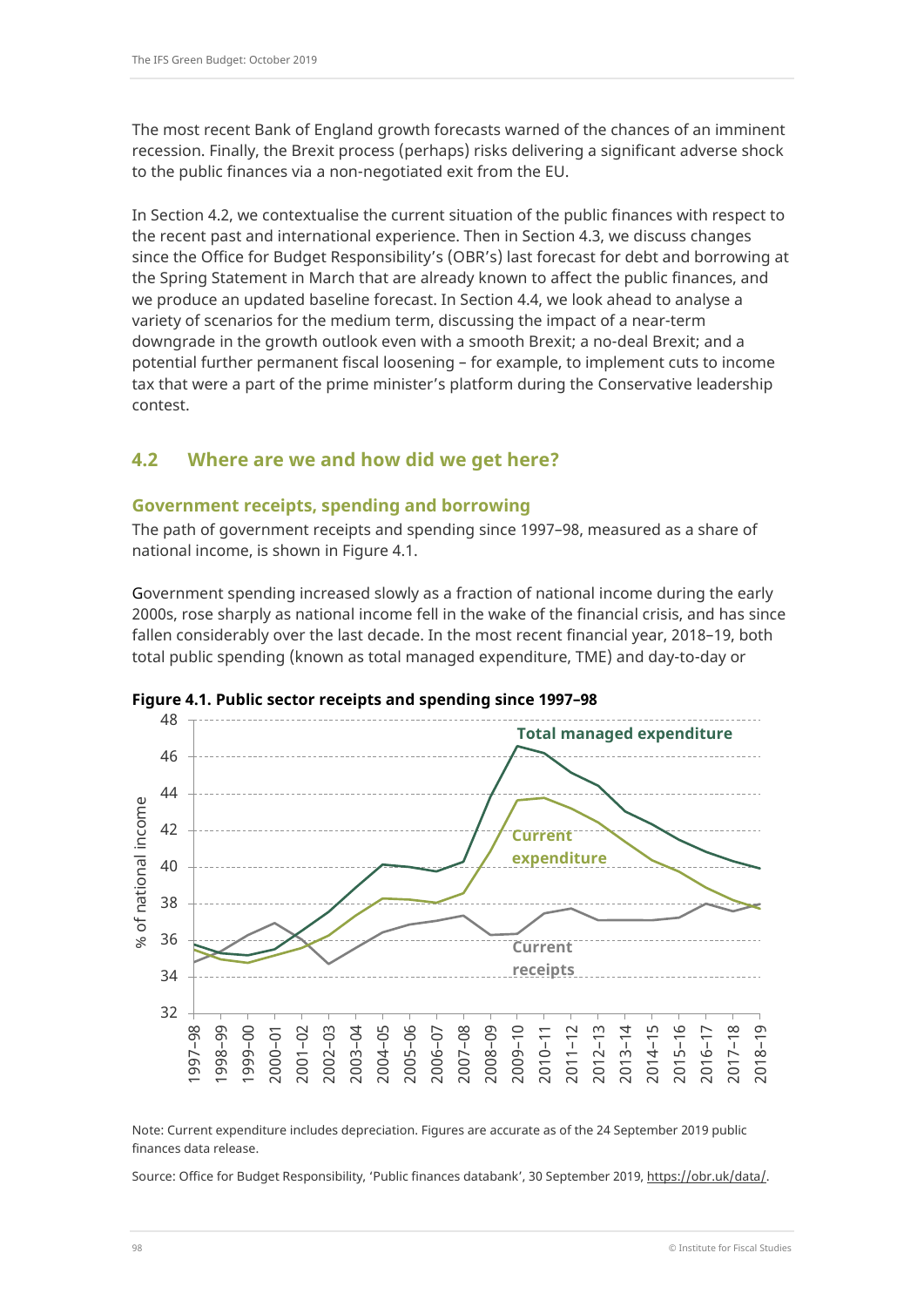The most recent Bank of England growth forecasts warned of the chances of an imminent recession. Finally, the Brexit process (perhaps) risks delivering a significant adverse shock to the public finances via a non-negotiated exit from the EU.

In Section 4.2, we contextualise the current situation of the public finances with respect to the recent past and international experience. Then in Section 4.3, we discuss changes since the Office for Budget Responsibility's (OBR's) last forecast for debt and borrowing at the Spring Statement in March that are already known to affect the public finances, and we produce an updated baseline forecast. In Section 4.4, we look ahead to analyse a variety of scenarios for the medium term, discussing the impact of a near-term downgrade in the growth outlook even with a smooth Brexit; a no-deal Brexit; and a potential further permanent fiscal loosening – for example, to implement cuts to income tax that were a part of the prime minister's platform during the Conservative leadership contest.

## **4.2 Where are we and how did we get here?**

### **Government receipts, spending and borrowing**

The path of government receipts and spending since 1997–98, measured as a share of national income, is shown in Figure 4.1.

Government spending increased slowly as a fraction of national income during the early 2000s, rose sharply as national income fell in the wake of the financial crisis, and has since fallen considerably over the last decade. In the most recent financial year, 2018–19, both total public spending (known as total managed expenditure, TME) and day-to-day or





Note: Current expenditure includes depreciation. Figures are accurate as of the 24 September 2019 public finances data release.

Source: Office for Budget Responsibility, 'Public finances databank', 30 September 2019, [https://obr.uk/data/.](https://obr.uk/data/)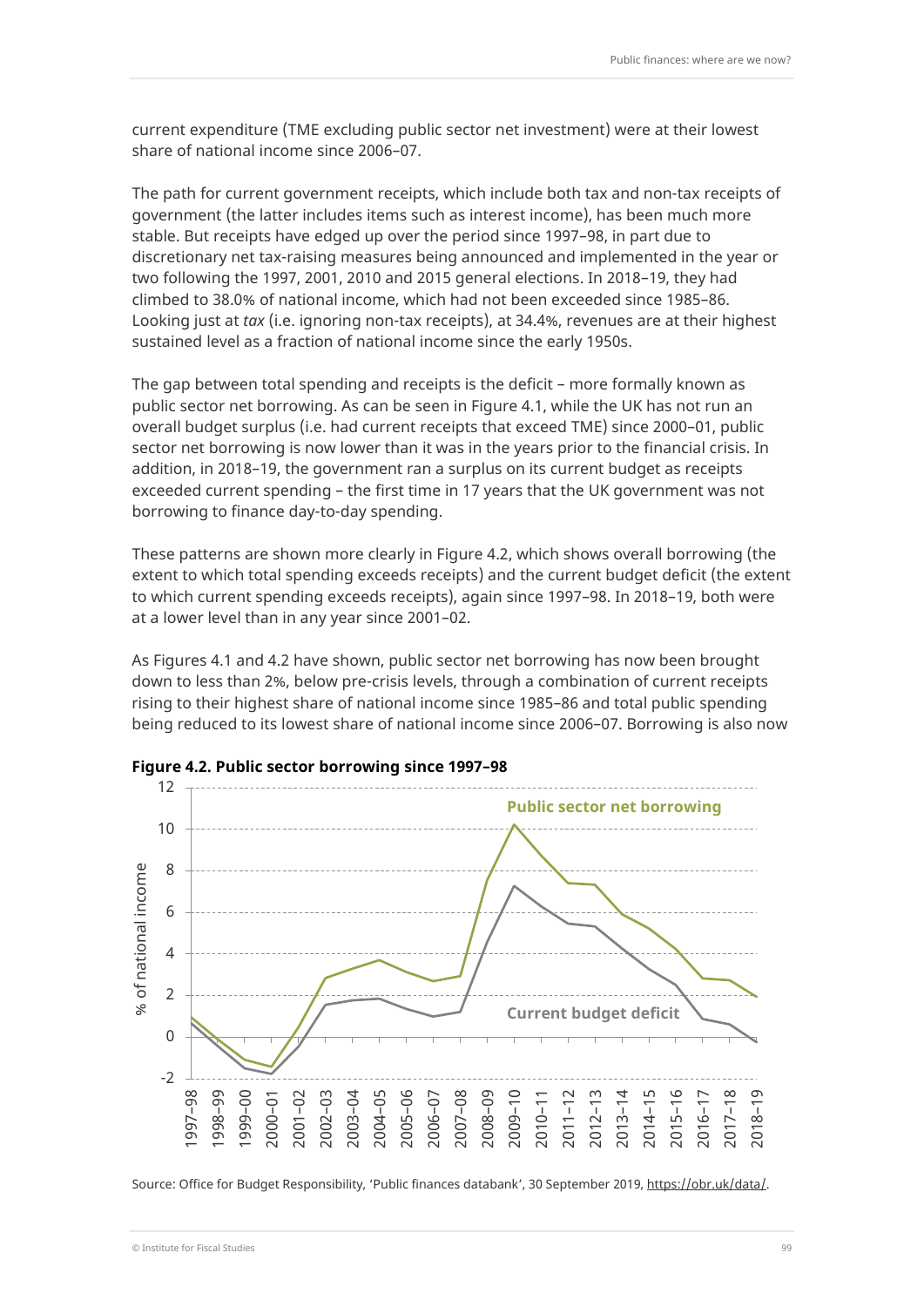current expenditure (TME excluding public sector net investment) were at their lowest share of national income since 2006–07.

The path for current government receipts, which include both tax and non-tax receipts of government (the latter includes items such as interest income), has been much more stable. But receipts have edged up over the period since 1997–98, in part due to discretionary net tax-raising measures being announced and implemented in the year or two following the 1997, 2001, 2010 and 2015 general elections. In 2018–19, they had climbed to 38.0% of national income, which had not been exceeded since 1985–86. Looking just at *tax* (i.e. ignoring non-tax receipts), at 34.4%, revenues are at their highest sustained level as a fraction of national income since the early 1950s.

The gap between total spending and receipts is the deficit – more formally known as public sector net borrowing. As can be seen in Figure 4.1, while the UK has not run an overall budget surplus (i.e. had current receipts that exceed TME) since 2000–01, public sector net borrowing is now lower than it was in the years prior to the financial crisis. In addition, in 2018–19, the government ran a surplus on its current budget as receipts exceeded current spending – the first time in 17 years that the UK government was not borrowing to finance day-to-day spending.

These patterns are shown more clearly in Figure 4.2, which shows overall borrowing (the extent to which total spending exceeds receipts) and the current budget deficit (the extent to which current spending exceeds receipts), again since 1997–98. In 2018–19, both were at a lower level than in any year since 2001–02.

As Figures 4.1 and 4.2 have shown, public sector net borrowing has now been brought down to less than 2%, below pre-crisis levels, through a combination of current receipts rising to their highest share of national income since 1985–86 and total public spending being reduced to its lowest share of national income since 2006–07. Borrowing is also now





Source: Office for Budget Responsibility, 'Public finances databank', 30 September 2019, [https://obr.uk/data/.](https://obr.uk/data/)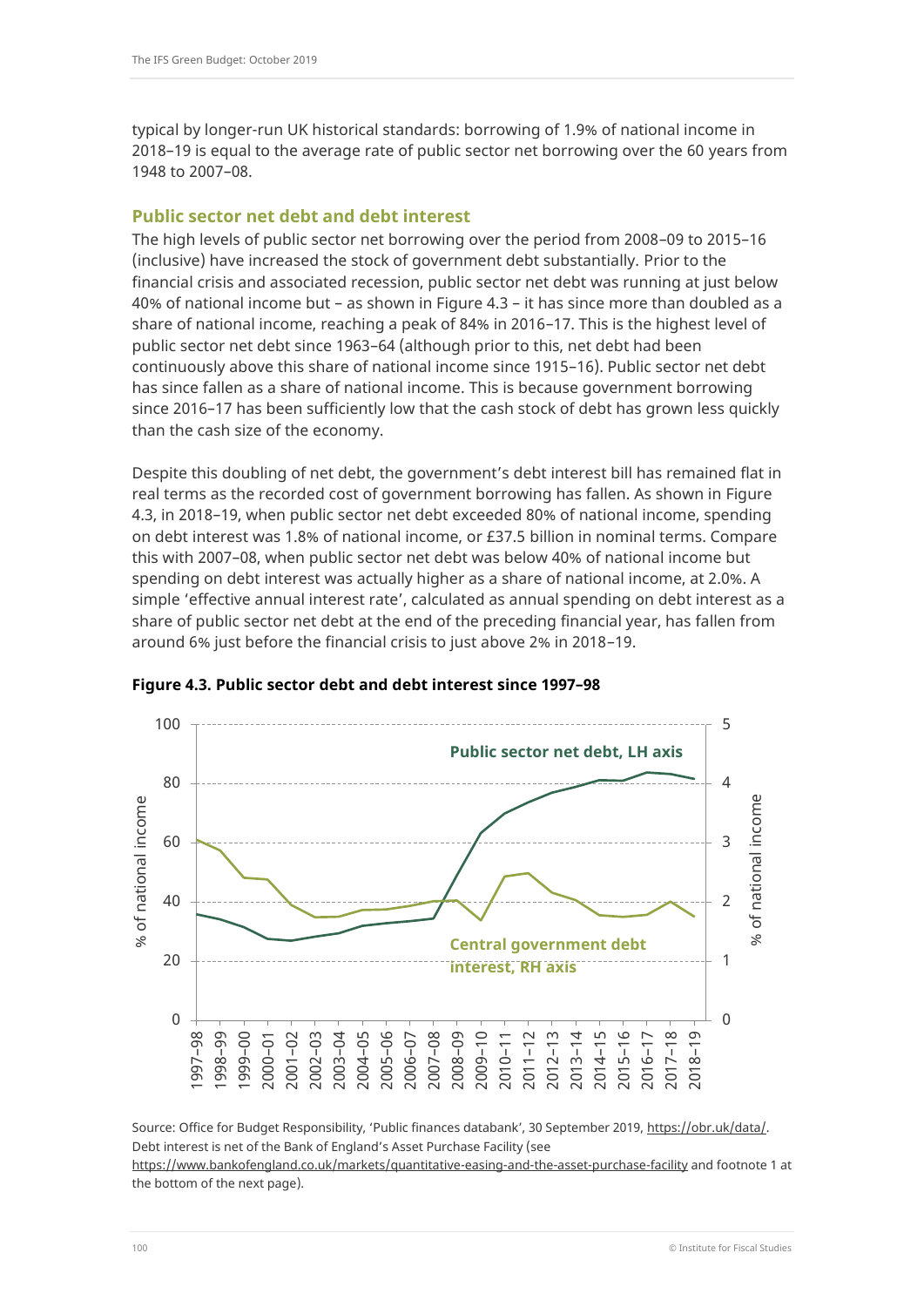typical by longer-run UK historical standards: borrowing of 1.9% of national income in 2018–19 is equal to the average rate of public sector net borrowing over the 60 years from 1948 to 2007–08.

## **Public sector net debt and debt interest**

The high levels of public sector net borrowing over the period from 2008–09 to 2015–16 (inclusive) have increased the stock of government debt substantially. Prior to the financial crisis and associated recession, public sector net debt was running at just below 40% of national income but – as shown in Figure 4.3 – it has since more than doubled as a share of national income, reaching a peak of 84% in 2016–17. This is the highest level of public sector net debt since 1963–64 (although prior to this, net debt had been continuously above this share of national income since 1915–16). Public sector net debt has since fallen as a share of national income. This is because government borrowing since 2016–17 has been sufficiently low that the cash stock of debt has grown less quickly than the cash size of the economy.

Despite this doubling of net debt, the government's debt interest bill has remained flat in real terms as the recorded cost of government borrowing has fallen. As shown in Figure 4.3, in 2018–19, when public sector net debt exceeded 80% of national income, spending on debt interest was 1.8% of national income, or £37.5 billion in nominal terms. Compare this with 2007–08, when public sector net debt was below 40% of national income but spending on debt interest was actually higher as a share of national income, at 2.0%. A simple 'effective annual interest rate', calculated as annual spending on debt interest as a share of public sector net debt at the end of the preceding financial year, has fallen from around 6% just before the financial crisis to just above 2% in 2018–19.



### **Figure 4.3. Public sector debt and debt interest since 1997–98**

Source: Office for Budget Responsibility, 'Public finances databank', 30 September 2019, [https://obr.uk/data/.](https://obr.uk/data/) Debt interest is net of the Bank of England's Asset Purchase Facility (see

<https://www.bankofengland.co.uk/markets/quantitative-easing-and-the-asset-purchase-facility> and footnote 1 at the bottom of the next page).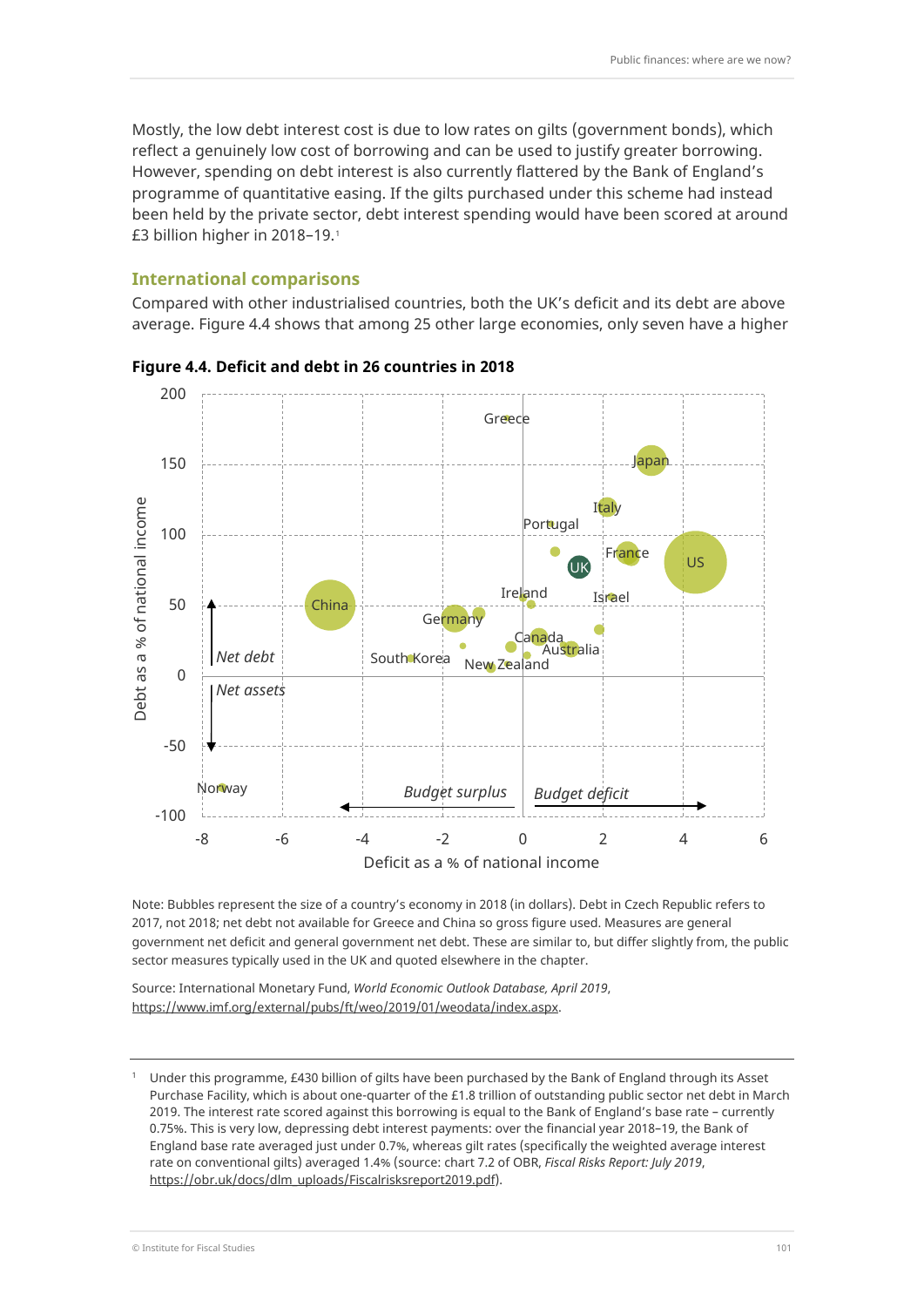Mostly, the low debt interest cost is due to low rates on gilts (government bonds), which reflect a genuinely low cost of borrowing and can be used to justify greater borrowing. However, spending on debt interest is also currently flattered by the Bank of England's programme of quantitative easing. If the gilts purchased under this scheme had instead been held by the private sector, debt interest spending would have been scored at around £3 billion higher in 2018–19.[1](#page-4-0)

#### **International comparisons**

Compared with other industrialised countries, both the UK's deficit and its debt are above average. Figure 4.4 shows that among 25 other large economies, only seven have a higher



**Figure 4.4. Deficit and debt in 26 countries in 2018** 

Note: Bubbles represent the size of a country's economy in 2018 (in dollars). Debt in Czech Republic refers to 2017, not 2018; net debt not available for Greece and China so gross figure used. Measures are general government net deficit and general government net debt. These are similar to, but differ slightly from, the public sector measures typically used in the UK and quoted elsewhere in the chapter.

Source: International Monetary Fund, *World Economic Outlook Database, April 2019*, [https://www.imf.org/external/pubs/ft/weo/2019/01/weodata/index.aspx.](https://www.imf.org/external/pubs/ft/weo/2019/01/weodata/index.aspx)

<span id="page-4-0"></span><sup>1</sup> Under this programme, £430 billion of gilts have been purchased by the Bank of England through its Asset Purchase Facility, which is about one-quarter of the £1.8 trillion of outstanding public sector net debt in March 2019. The interest rate scored against this borrowing is equal to the Bank of England's base rate – currently 0.75%. This is very low, depressing debt interest payments: over the financial year 2018–19, the Bank of England base rate averaged just under 0.7%, whereas gilt rates (specifically the weighted average interest rate on conventional gilts) averaged 1.4% (source: chart 7.2 of OBR, *Fiscal Risks Report: July 2019*, [https://obr.uk/docs/dlm\\_uploads/Fiscalrisksreport2019.pdf\)](https://obr.uk/docs/dlm_uploads/Fiscalrisksreport2019.pdf).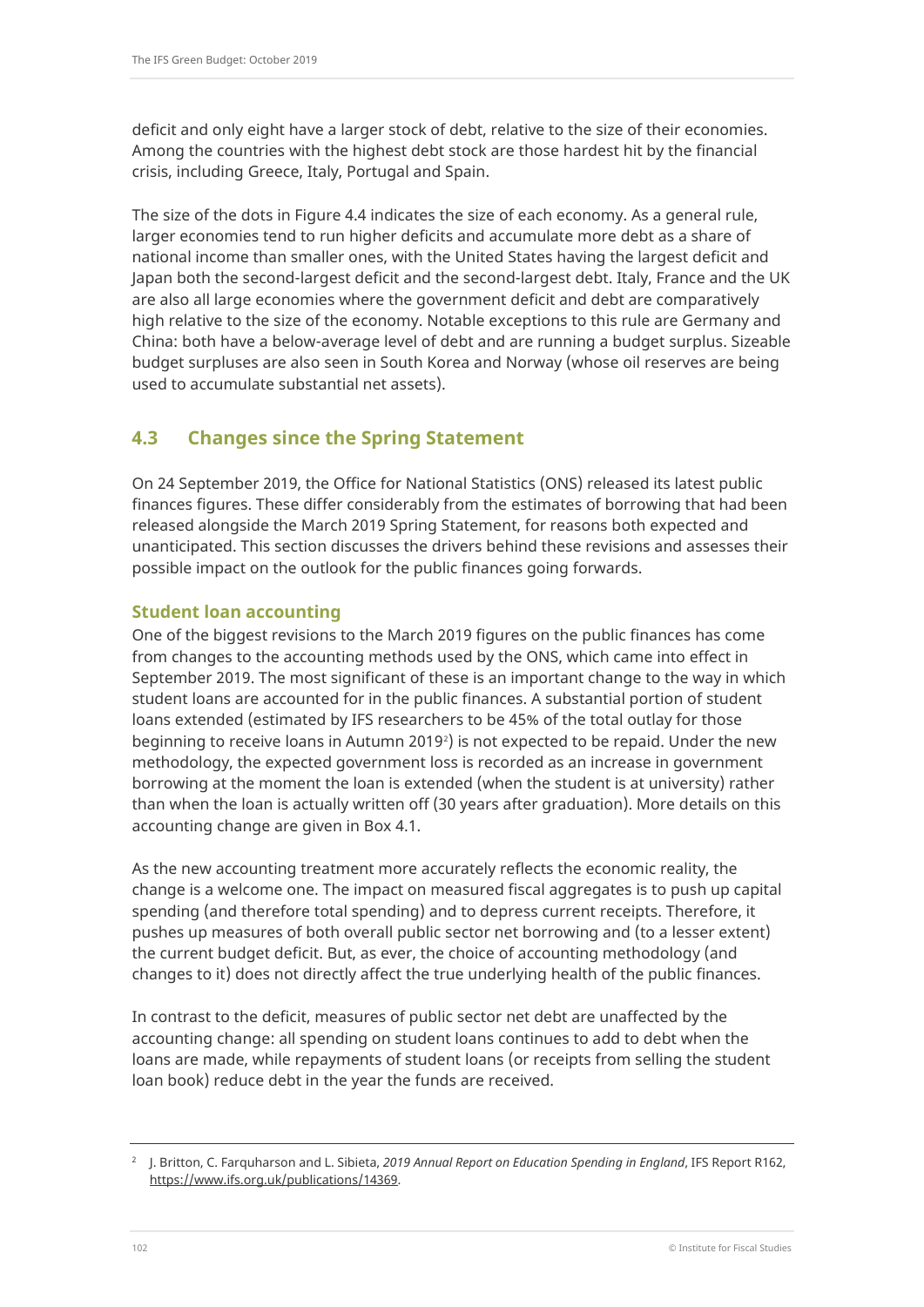deficit and only eight have a larger stock of debt, relative to the size of their economies. Among the countries with the highest debt stock are those hardest hit by the financial crisis, including Greece, Italy, Portugal and Spain.

The size of the dots in Figure 4.4 indicates the size of each economy. As a general rule, larger economies tend to run higher deficits and accumulate more debt as a share of national income than smaller ones, with the United States having the largest deficit and Japan both the second-largest deficit and the second-largest debt. Italy, France and the UK are also all large economies where the government deficit and debt are comparatively high relative to the size of the economy. Notable exceptions to this rule are Germany and China: both have a below-average level of debt and are running a budget surplus. Sizeable budget surpluses are also seen in South Korea and Norway (whose oil reserves are being used to accumulate substantial net assets).

# **4.3 Changes since the Spring Statement**

On 24 September 2019, the Office for National Statistics (ONS) released its latest public finances figures. These differ considerably from the estimates of borrowing that had been released alongside the March 2019 Spring Statement, for reasons both expected and unanticipated. This section discusses the drivers behind these revisions and assesses their possible impact on the outlook for the public finances going forwards.

## **Student loan accounting**

One of the biggest revisions to the March 2019 figures on the public finances has come from changes to the accounting methods used by the ONS, which came into effect in September 2019. The most significant of these is an important change to the way in which student loans are accounted for in the public finances. A substantial portion of student loans extended (estimated by IFS researchers to be 45% of the total outlay for those beginning to receive loans in Autumn [2](#page-5-0)019<sup>,</sup>) is not expected to be repaid. Under the new methodology, the expected government loss is recorded as an increase in government borrowing at the moment the loan is extended (when the student is at university) rather than when the loan is actually written off (30 years after graduation). More details on this accounting change are given in Box 4.1.

As the new accounting treatment more accurately reflects the economic reality, the change is a welcome one. The impact on measured fiscal aggregates is to push up capital spending (and therefore total spending) and to depress current receipts. Therefore, it pushes up measures of both overall public sector net borrowing and (to a lesser extent) the current budget deficit. But, as ever, the choice of accounting methodology (and changes to it) does not directly affect the true underlying health of the public finances.

In contrast to the deficit, measures of public sector net debt are unaffected by the accounting change: all spending on student loans continues to add to debt when the loans are made, while repayments of student loans (or receipts from selling the student loan book) reduce debt in the year the funds are received.

<span id="page-5-0"></span><sup>2</sup> J. Britton, C. Farquharson and L. Sibieta, *2019 Annual Report on Education Spending in England*, IFS Report R162, [https://www.ifs.org.uk/publications/14369.](https://www.ifs.org.uk/publications/14369)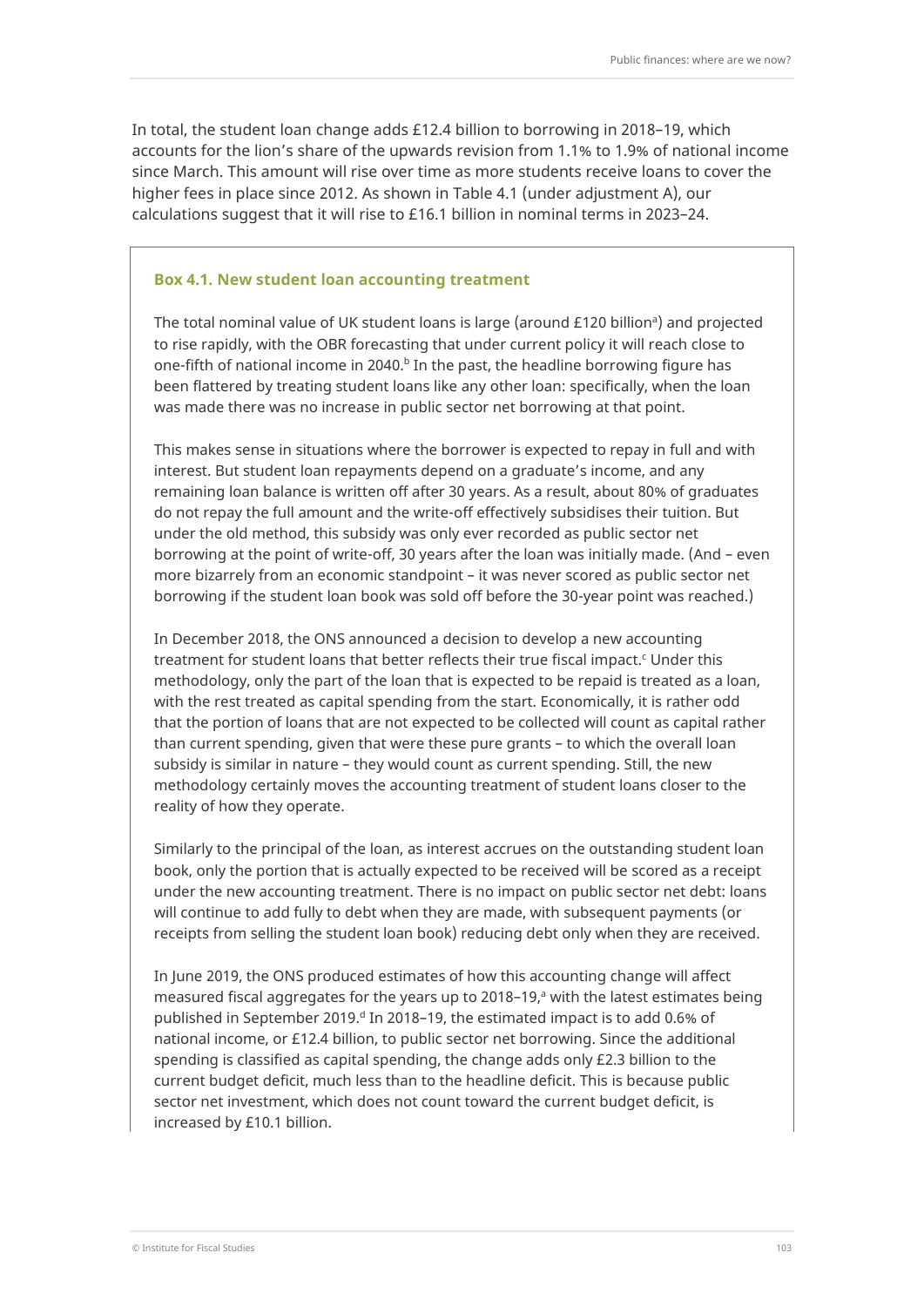In total, the student loan change adds £12.4 billion to borrowing in 2018–19, which accounts for the lion's share of the upwards revision from 1.1% to 1.9% of national income since March. This amount will rise over time as more students receive loans to cover the higher fees in place since 2012. As shown in Table 4.1 (under adjustment A), our calculations suggest that it will rise to £16.1 billion in nominal terms in 2023–24.

#### **Box 4.1. New student loan accounting treatment**

The total nominal value of UK student loans is large (around £120 billionª) and projected to rise rapidly, with the OBR forecasting that under current policy it will reach close to one-fifth of national income in 2040.<sup>b</sup> In the past, the headline borrowing figure has been flattered by treating student loans like any other loan: specifically, when the loan was made there was no increase in public sector net borrowing at that point.

This makes sense in situations where the borrower is expected to repay in full and with interest. But student loan repayments depend on a graduate's income, and any remaining loan balance is written off after 30 years. As a result, about 80% of graduates do not repay the full amount and the write-off effectively subsidises their tuition. But under the old method, this subsidy was only ever recorded as public sector net borrowing at the point of write-off, 30 years after the loan was initially made. (And – even more bizarrely from an economic standpoint – it was never scored as public sector net borrowing if the student loan book was sold off before the 30-year point was reached.)

In December 2018, the ONS announced a decision to develop a new accounting treatment for student loans that better reflects their true fiscal impact.<sup>c</sup> Under this methodology, only the part of the loan that is expected to be repaid is treated as a loan, with the rest treated as capital spending from the start. Economically, it is rather odd that the portion of loans that are not expected to be collected will count as capital rather than current spending, given that were these pure grants – to which the overall loan subsidy is similar in nature – they would count as current spending. Still, the new methodology certainly moves the accounting treatment of student loans closer to the reality of how they operate.

Similarly to the principal of the loan, as interest accrues on the outstanding student loan book, only the portion that is actually expected to be received will be scored as a receipt under the new accounting treatment. There is no impact on public sector net debt: loans will continue to add fully to debt when they are made, with subsequent payments (or receipts from selling the student loan book) reducing debt only when they are received.

In June 2019, the ONS produced estimates of how this accounting change will affect measured fiscal aggregates for the years up to 2018–19, <sup>a</sup> with the latest estimates being published in September 2019.<sup>d</sup> In 2018–19, the estimated impact is to add 0.6% of national income, or £12.4 billion, to public sector net borrowing. Since the additional spending is classified as capital spending, the change adds only £2.3 billion to the current budget deficit, much less than to the headline deficit. This is because public sector net investment, which does not count toward the current budget deficit, is increased by £10.1 billion.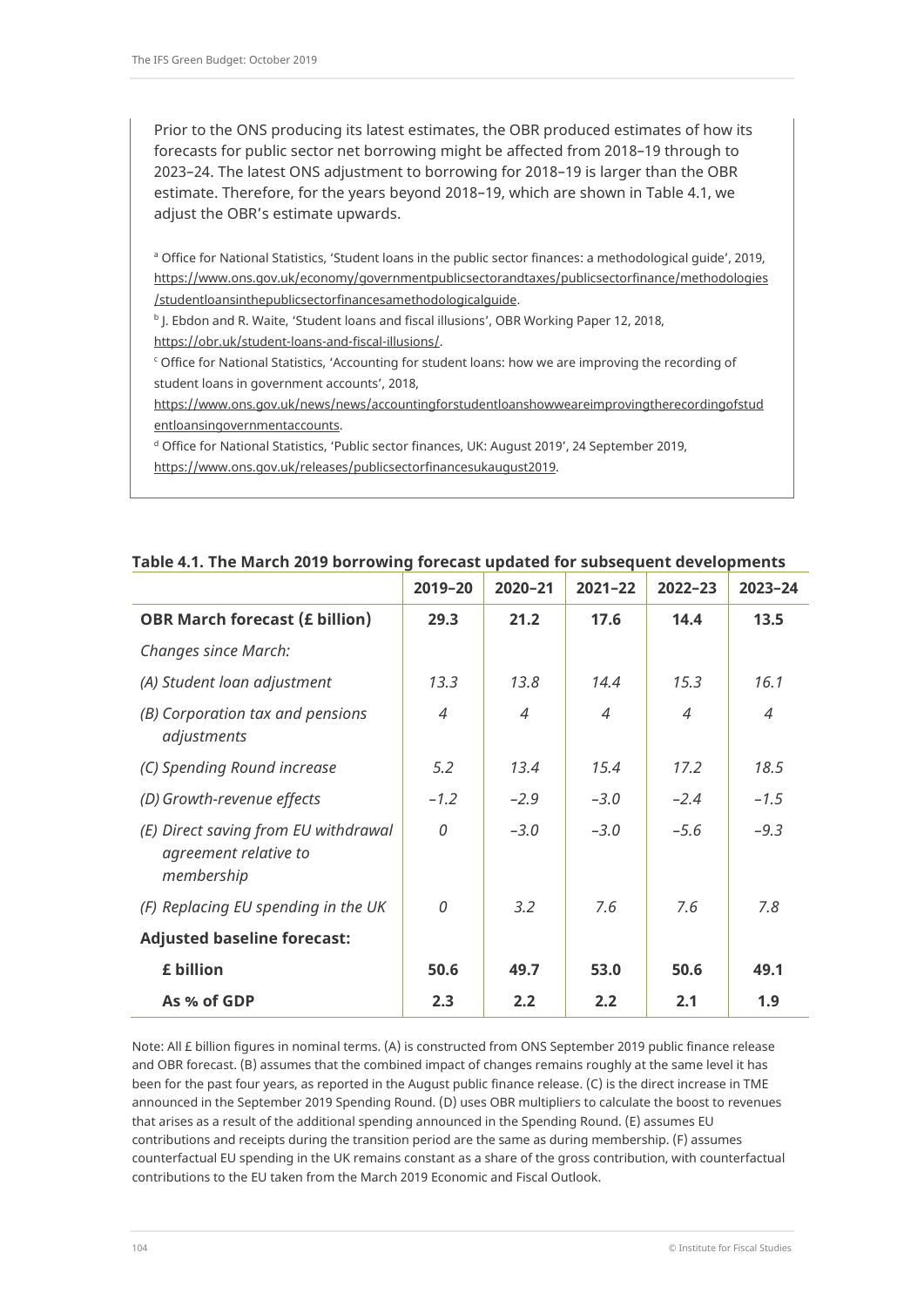Prior to the ONS producing its latest estimates, the OBR produced estimates of how its forecasts for public sector net borrowing might be affected from 2018–19 through to 2023–24. The latest ONS adjustment to borrowing for 2018–19 is larger than the OBR estimate. Therefore, for the years beyond 2018–19, which are shown in Table 4.1, we adjust the OBR's estimate upwards.

<sup>a</sup> Office for National Statistics, 'Student loans in the public sector finances: a methodological guide', 2019, [https://www.ons.gov.uk/economy/governmentpublicsectorandtaxes/publicsectorfinance/methodologies](https://www.ons.gov.uk/economy/governmentpublicsectorandtaxes/publicsectorfinance/methodologies/studentloansinthepublicsectorfinancesamethodologicalguide) [/studentloansinthepublicsectorfinancesamethodologicalguide.](https://www.ons.gov.uk/economy/governmentpublicsectorandtaxes/publicsectorfinance/methodologies/studentloansinthepublicsectorfinancesamethodologicalguide)

<sup>b</sup> J. Ebdon and R. Waite, 'Student loans and fiscal illusions', OBR Working Paper 12, 2018, [https://obr.uk/student-loans-and-fiscal-illusions/.](https://obr.uk/student-loans-and-fiscal-illusions/)

<sup>c</sup> Office for National Statistics, 'Accounting for student loans: how we are improving the recording of student loans in government accounts', 2018,

[https://www.ons.gov.uk/news/news/accountingforstudentloanshowweareimprovingtherecordingofstud](https://www.ons.gov.uk/news/news/accountingforstudentloanshowweareimprovingtherecordingofstudentloansingovernmentaccounts) [entloansingovernmentaccounts.](https://www.ons.gov.uk/news/news/accountingforstudentloanshowweareimprovingtherecordingofstudentloansingovernmentaccounts)

<sup>d</sup> Office for National Statistics, 'Public sector finances, UK: August 2019', 24 September 2019,

[https://www.ons.gov.uk/releases/publicsectorfinancesukaugust2019.](https://www.ons.gov.uk/releases/publicsectorfinancesukaugust2019)

|                                                                             | 2019-20        | $2020 - 21$    | $2021 - 22$    | $2022 - 23$ | $2023 - 24$    |
|-----------------------------------------------------------------------------|----------------|----------------|----------------|-------------|----------------|
| <b>OBR March forecast (£ billion)</b>                                       | 29.3           | 21.2           | 17.6           | 14.4        | 13.5           |
| Changes since March:                                                        |                |                |                |             |                |
| (A) Student loan adjustment                                                 | 13.3           | 13.8           | 14.4           | 15.3        | 16.1           |
| (B) Corporation tax and pensions<br>adjustments                             | $\overline{4}$ | $\overline{4}$ | $\overline{4}$ | 4           | $\overline{4}$ |
| (C) Spending Round increase                                                 | 5.2            | 13.4           | 15.4           | 17.2        | 18.5           |
| (D) Growth-revenue effects                                                  | $-1.2$         | $-2.9$         | $-3.0$         | $-2.4$      | $-1.5$         |
| (E) Direct saving from EU withdrawal<br>agreement relative to<br>membership | 0              | $-3.0$         | $-3.0$         | $-5.6$      | $-9.3$         |
| (F) Replacing EU spending in the UK                                         | 0              | 3.2            | 7.6            | 7.6         | 7.8            |
| <b>Adjusted baseline forecast:</b>                                          |                |                |                |             |                |
| £ billion                                                                   | 50.6           | 49.7           | 53.0           | 50.6        | 49.1           |
| As % of GDP                                                                 | 2.3            | 2.2            | 2.2            | 2.1         | 1.9            |

### **Table 4.1. The March 2019 borrowing forecast updated for subsequent developments**

Note: All £ billion figures in nominal terms. (A) is constructed from ONS September 2019 public finance release and OBR forecast. (B) assumes that the combined impact of changes remains roughly at the same level it has been for the past four years, as reported in the August public finance release. (C) is the direct increase in TME announced in the September 2019 Spending Round. (D) uses OBR multipliers to calculate the boost to revenues that arises as a result of the additional spending announced in the Spending Round. (E) assumes EU contributions and receipts during the transition period are the same as during membership. (F) assumes counterfactual EU spending in the UK remains constant as a share of the gross contribution, with counterfactual contributions to the EU taken from the March 2019 Economic and Fiscal Outlook.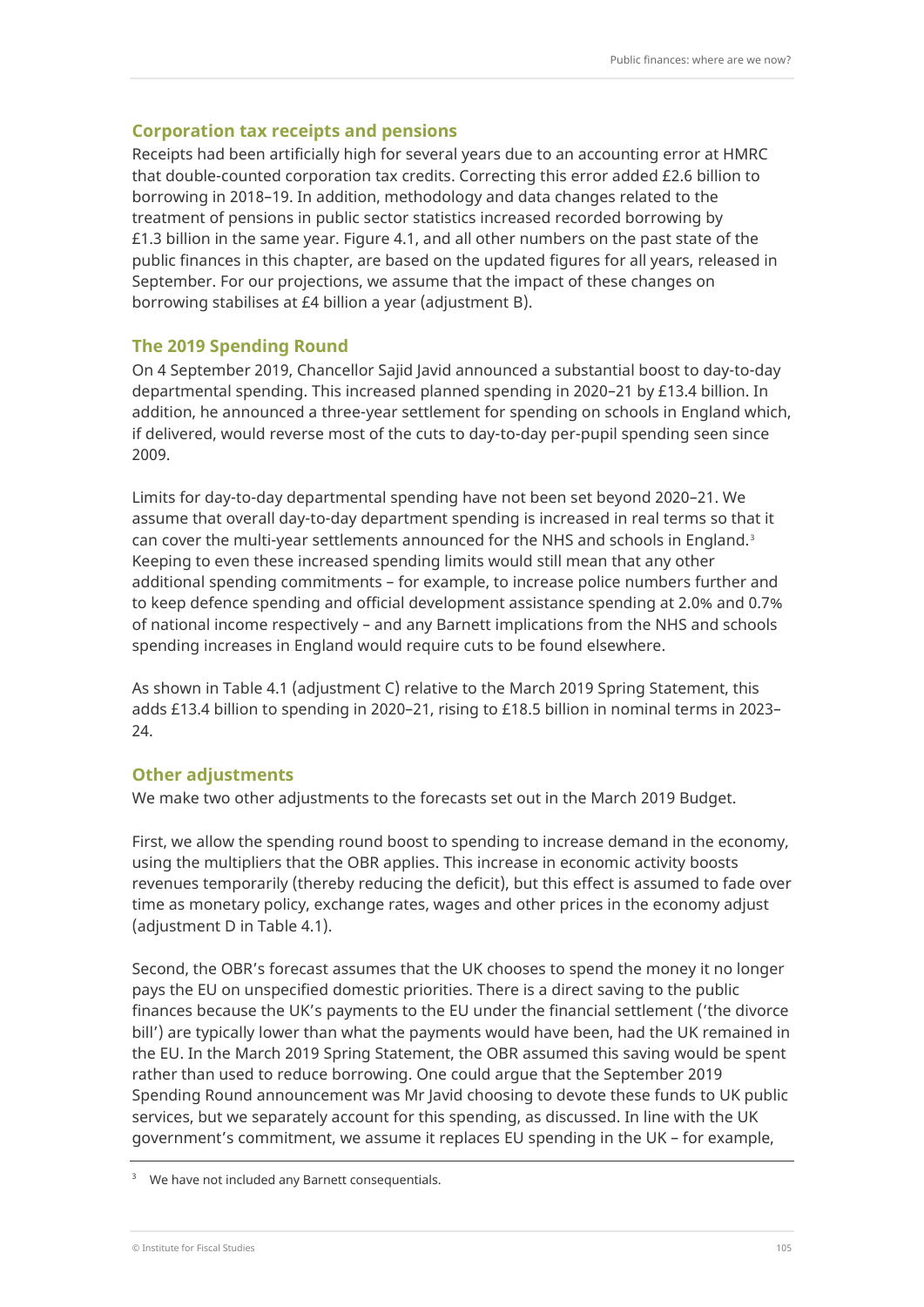### **Corporation tax receipts and pensions**

Receipts had been artificially high for several years due to an accounting error at HMRC that double-counted corporation tax credits. Correcting this error added £2.6 billion to borrowing in 2018–19. In addition, methodology and data changes related to the treatment of pensions in public sector statistics increased recorded borrowing by  $£1.3$  billion in the same year. Figure 4.1, and all other numbers on the past state of the public finances in this chapter, are based on the updated figures for all years, released in September. For our projections, we assume that the impact of these changes on borrowing stabilises at £4 billion a year (adjustment B).

#### **The 2019 Spending Round**

On 4 September 2019, Chancellor Sajid Javid announced a substantial boost to day-to-day departmental spending. This increased planned spending in 2020–21 by £13.4 billion. In addition, he announced a three-year settlement for spending on schools in England which, if delivered, would reverse most of the cuts to day-to-day per-pupil spending seen since 2009.

Limits for day-to-day departmental spending have not been set beyond 2020–21. We assume that overall day-to-day department spending is increased in real terms so that it can cover the multi-year settlements announced for the NHS and schools in England.[3](#page-8-0) Keeping to even these increased spending limits would still mean that any other additional spending commitments – for example, to increase police numbers further and to keep defence spending and official development assistance spending at 2.0% and 0.7% of national income respectively – and any Barnett implications from the NHS and schools spending increases in England would require cuts to be found elsewhere.

As shown in Table 4.1 (adjustment C) relative to the March 2019 Spring Statement, this adds £13.4 billion to spending in 2020–21, rising to £18.5 billion in nominal terms in 2023– 24.

### **Other adjustments**

We make two other adjustments to the forecasts set out in the March 2019 Budget.

First, we allow the spending round boost to spending to increase demand in the economy, using the multipliers that the OBR applies. This increase in economic activity boosts revenues temporarily (thereby reducing the deficit), but this effect is assumed to fade over time as monetary policy, exchange rates, wages and other prices in the economy adjust (adjustment D in Table 4.1).

Second, the OBR's forecast assumes that the UK chooses to spend the money it no longer pays the EU on unspecified domestic priorities. There is a direct saving to the public finances because the UK's payments to the EU under the financial settlement ('the divorce bill') are typically lower than what the payments would have been, had the UK remained in the EU. In the March 2019 Spring Statement, the OBR assumed this saving would be spent rather than used to reduce borrowing. One could argue that the September 2019 Spending Round announcement was Mr Javid choosing to devote these funds to UK public services, but we separately account for this spending, as discussed. In line with the UK government's commitment, we assume it replaces EU spending in the UK – for example,

<span id="page-8-0"></span>We have not included any Barnett consequentials.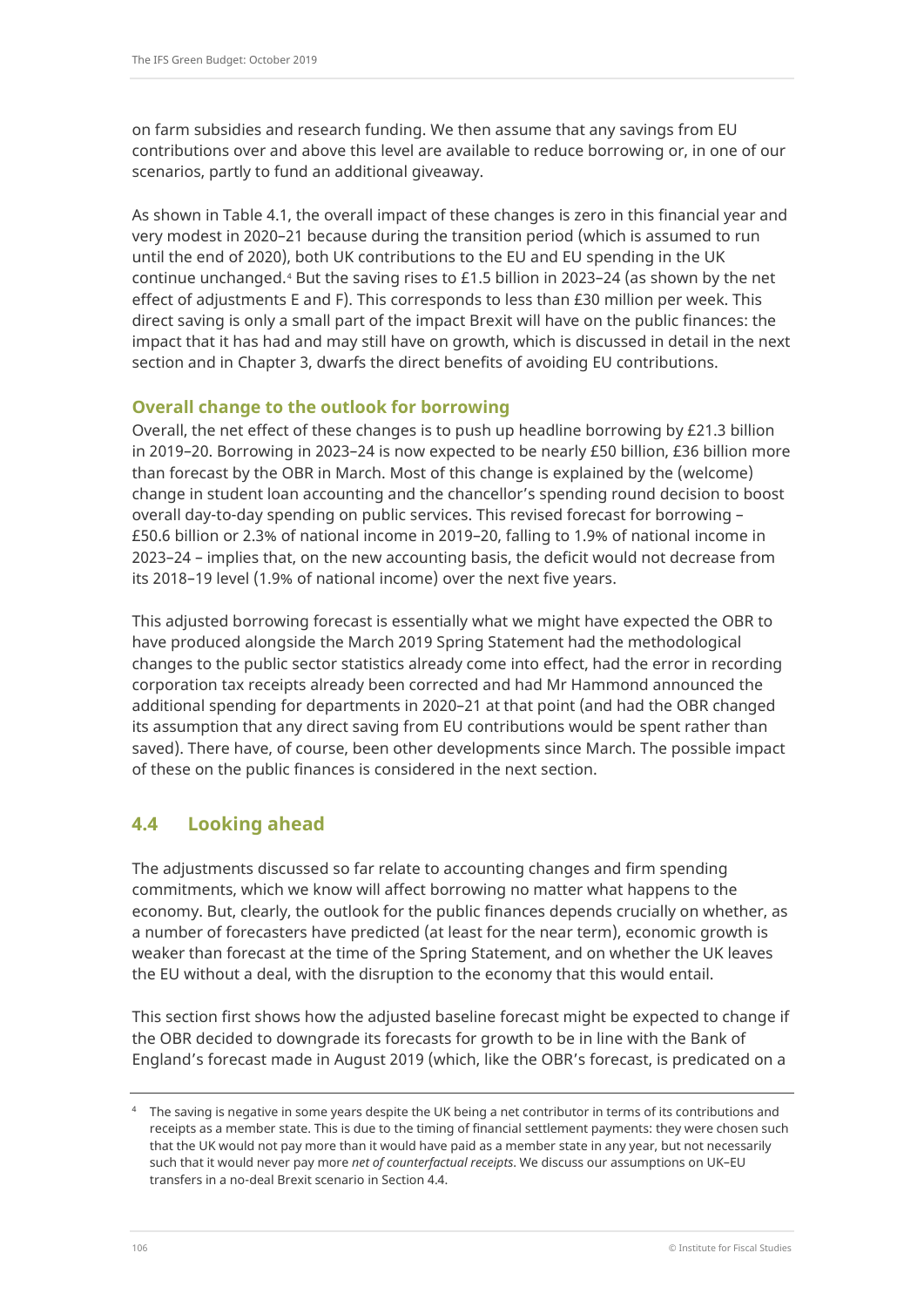on farm subsidies and research funding. We then assume that any savings from EU contributions over and above this level are available to reduce borrowing or, in one of our scenarios, partly to fund an additional giveaway.

As shown in Table 4.1, the overall impact of these changes is zero in this financial year and very modest in 2020–21 because during the transition period (which is assumed to run until the end of 2020), both UK contributions to the EU and EU spending in the UK continue unchanged.<sup>[4](#page-9-0)</sup> But the saving rises to £1.5 billion in 2023-24 (as shown by the net effect of adjustments E and F). This corresponds to less than £30 million per week. This direct saving is only a small part of the impact Brexit will have on the public finances: the impact that it has had and may still have on growth, which is discussed in detail in the next section and in Chapter 3, dwarfs the direct benefits of avoiding EU contributions.

## **Overall change to the outlook for borrowing**

Overall, the net effect of these changes is to push up headline borrowing by £21.3 billion in 2019–20. Borrowing in 2023–24 is now expected to be nearly £50 billion, £36 billion more than forecast by the OBR in March. Most of this change is explained by the (welcome) change in student loan accounting and the chancellor's spending round decision to boost overall day-to-day spending on public services. This revised forecast for borrowing – £50.6 billion or 2.3% of national income in 2019–20, falling to 1.9% of national income in 2023–24 – implies that, on the new accounting basis, the deficit would not decrease from its 2018–19 level (1.9% of national income) over the next five years.

This adjusted borrowing forecast is essentially what we might have expected the OBR to have produced alongside the March 2019 Spring Statement had the methodological changes to the public sector statistics already come into effect, had the error in recording corporation tax receipts already been corrected and had Mr Hammond announced the additional spending for departments in 2020–21 at that point (and had the OBR changed its assumption that any direct saving from EU contributions would be spent rather than saved). There have, of course, been other developments since March. The possible impact of these on the public finances is considered in the next section.

## **4.4 Looking ahead**

The adjustments discussed so far relate to accounting changes and firm spending commitments, which we know will affect borrowing no matter what happens to the economy. But, clearly, the outlook for the public finances depends crucially on whether, as a number of forecasters have predicted (at least for the near term), economic growth is weaker than forecast at the time of the Spring Statement, and on whether the UK leaves the EU without a deal, with the disruption to the economy that this would entail.

This section first shows how the adjusted baseline forecast might be expected to change if the OBR decided to downgrade its forecasts for growth to be in line with the Bank of England's forecast made in August 2019 (which, like the OBR's forecast, is predicated on a

<span id="page-9-0"></span> $4$  The saving is negative in some years despite the UK being a net contributor in terms of its contributions and receipts as a member state. This is due to the timing of financial settlement payments: they were chosen such that the UK would not pay more than it would have paid as a member state in any year, but not necessarily such that it would never pay more *net of counterfactual receipts*. We discuss our assumptions on UK–EU transfers in a no-deal Brexit scenario in Section 4.4.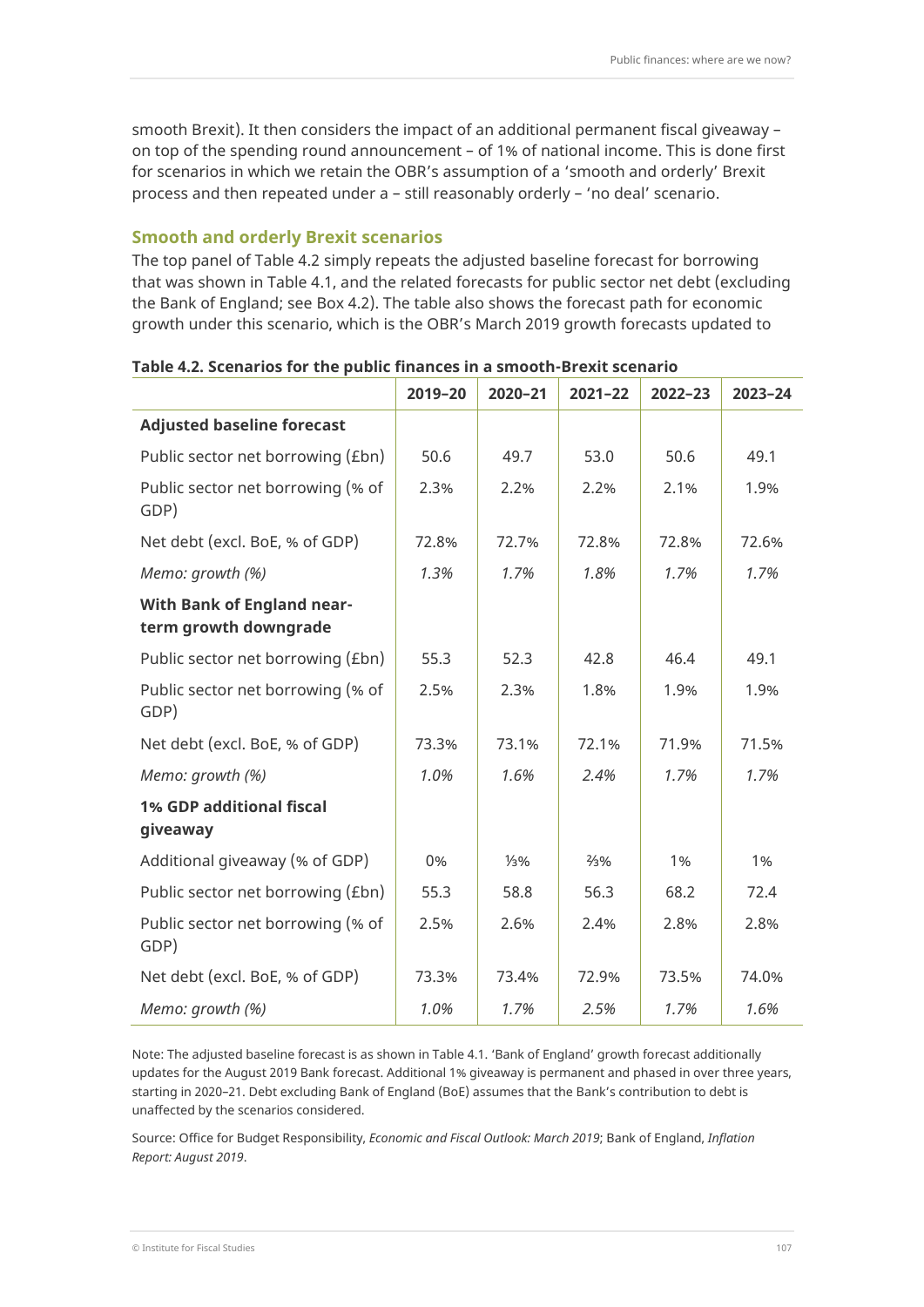smooth Brexit). It then considers the impact of an additional permanent fiscal giveaway – on top of the spending round announcement – of 1% of national income. This is done first for scenarios in which we retain the OBR's assumption of a 'smooth and orderly' Brexit process and then repeated under a – still reasonably orderly – 'no deal' scenario.

## **Smooth and orderly Brexit scenarios**

The top panel of Table 4.2 simply repeats the adjusted baseline forecast for borrowing that was shown in Table 4.1, and the related forecasts for public sector net debt (excluding the Bank of England; see Box 4.2). The table also shows the forecast path for economic growth under this scenario, which is the OBR's March 2019 growth forecasts updated to

|                                                            | 2019-20 | 2020-21 | $2021 - 22$     | $2022 - 23$ | 2023-24 |
|------------------------------------------------------------|---------|---------|-----------------|-------------|---------|
| <b>Adjusted baseline forecast</b>                          |         |         |                 |             |         |
| Public sector net borrowing (£bn)                          | 50.6    | 49.7    | 53.0            | 50.6        | 49.1    |
| Public sector net borrowing (% of<br>GDP)                  | 2.3%    | 2.2%    | 2.2%            | 2.1%        | 1.9%    |
| Net debt (excl. BoE, % of GDP)                             | 72.8%   | 72.7%   | 72.8%           | 72.8%       | 72.6%   |
| Memo: growth (%)                                           | 1.3%    | 1.7%    | 1.8%            | 1.7%        | 1.7%    |
| <b>With Bank of England near-</b><br>term growth downgrade |         |         |                 |             |         |
| Public sector net borrowing (£bn)                          | 55.3    | 52.3    | 42.8            | 46.4        | 49.1    |
| Public sector net borrowing (% of<br>GDP)                  | 2.5%    | 2.3%    | 1.8%            | 1.9%        | 1.9%    |
| Net debt (excl. BoE, % of GDP)                             | 73.3%   | 73.1%   | 72.1%           | 71.9%       | 71.5%   |
| Memo: growth (%)                                           | 1.0%    | 1.6%    | 2.4%            | 1.7%        | 1.7%    |
| 1% GDP additional fiscal<br>giveaway                       |         |         |                 |             |         |
| Additional giveaway (% of GDP)                             | 0%      | 1/3%    | $\frac{2}{3}\%$ | 1%          | 1%      |
| Public sector net borrowing (£bn)                          | 55.3    | 58.8    | 56.3            | 68.2        | 72.4    |
| Public sector net borrowing (% of<br>GDP)                  | 2.5%    | 2.6%    | 2.4%            | 2.8%        | 2.8%    |
| Net debt (excl. BoE, % of GDP)                             | 73.3%   | 73.4%   | 72.9%           | 73.5%       | 74.0%   |
| Memo: growth (%)                                           | 1.0%    | 1.7%    | 2.5%            | 1.7%        | 1.6%    |

#### **Table 4.2. Scenarios for the public finances in a smooth-Brexit scenario**

Note: The adjusted baseline forecast is as shown in Table 4.1. 'Bank of England' growth forecast additionally updates for the August 2019 Bank forecast. Additional 1% giveaway is permanent and phased in over three years, starting in 2020–21. Debt excluding Bank of England (BoE) assumes that the Bank's contribution to debt is unaffected by the scenarios considered.

Source: Office for Budget Responsibility, *Economic and Fiscal Outlook: March 2019*; Bank of England, *Inflation Report: August 2019*.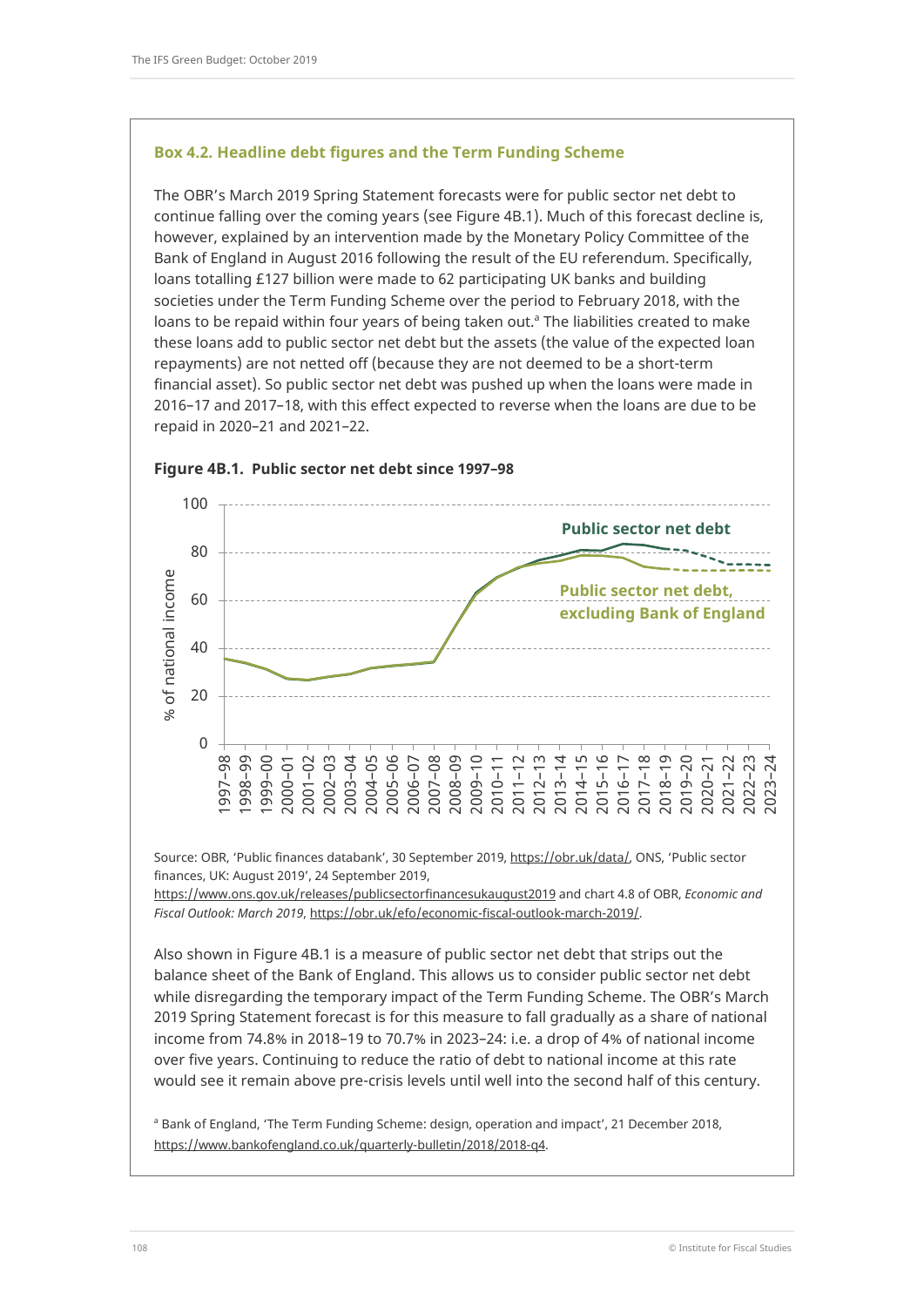#### **Box 4.2. Headline debt figures and the Term Funding Scheme**

The OBR's March 2019 Spring Statement forecasts were for public sector net debt to continue falling over the coming years (see Figure 4B.1). Much of this forecast decline is, however, explained by an intervention made by the Monetary Policy Committee of the Bank of England in August 2016 following the result of the EU referendum. Specifically, loans totalling £127 billion were made to 62 participating UK banks and building societies under the Term Funding Scheme over the period to February 2018, with the loans to be repaid within four years of being taken out.<sup>a</sup> The liabilities created to make these loans add to public sector net debt but the assets (the value of the expected loan repayments) are not netted off (because they are not deemed to be a short-term financial asset). So public sector net debt was pushed up when the loans were made in 2016–17 and 2017–18, with this effect expected to reverse when the loans are due to be repaid in 2020–21 and 2021–22.



#### **Figure 4B.1. Public sector net debt since 1997–98**

Source: OBR, 'Public finances databank', 30 September 2019, [https://obr.uk/data/,](https://obr.uk/data/) ONS, 'Public sector finances, UK: August 2019', 24 September 2019,

<https://www.ons.gov.uk/releases/publicsectorfinancesukaugust2019> and chart 4.8 of OBR, *Economic and Fiscal Outlook: March 2019*[, https://obr.uk/efo/economic-fiscal-outlook-march-2019/.](https://obr.uk/efo/economic-fiscal-outlook-march-2019/)

Also shown in Figure 4B.1 is a measure of public sector net debt that strips out the balance sheet of the Bank of England. This allows us to consider public sector net debt while disregarding the temporary impact of the Term Funding Scheme. The OBR's March 2019 Spring Statement forecast is for this measure to fall gradually as a share of national income from 74.8% in 2018–19 to 70.7% in 2023–24: i.e. a drop of 4% of national income over five years. Continuing to reduce the ratio of debt to national income at this rate would see it remain above pre-crisis levels until well into the second half of this century.

<sup>a</sup> Bank of England, 'The Term Funding Scheme: design, operation and impact', 21 December 2018, [https://www.bankofengland.co.uk/quarterly-bulletin/2018/2018-q4.](https://www.bankofengland.co.uk/quarterly-bulletin/2018/2018-q4)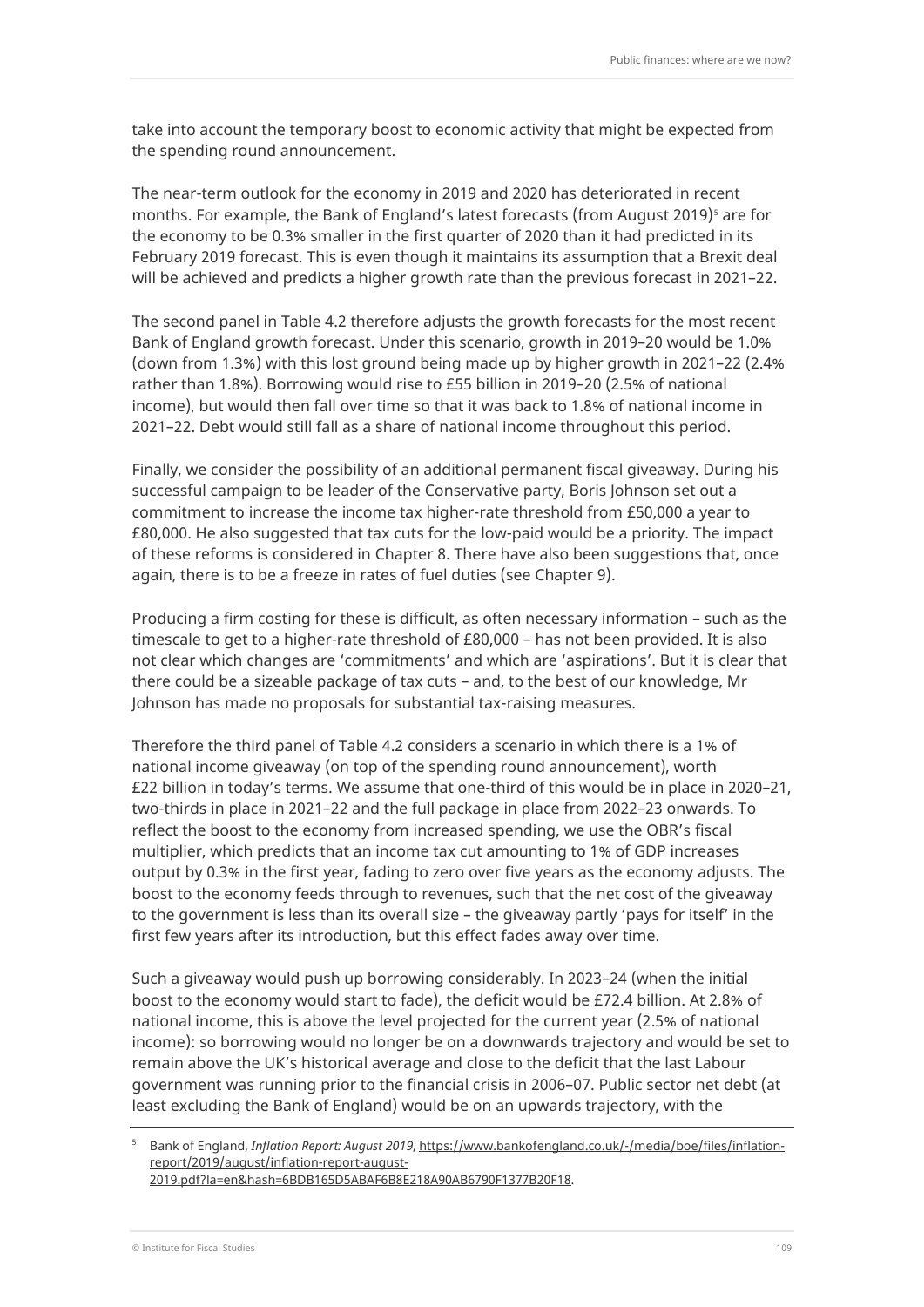take into account the temporary boost to economic activity that might be expected from the spending round announcement.

The near-term outlook for the economy in 2019 and 2020 has deteriorated in recent months. For example, the Bank of England's latest forecasts (from August 2019)<sup>[5](#page-12-0)</sup> are for the economy to be 0.3% smaller in the first quarter of 2020 than it had predicted in its February 2019 forecast. This is even though it maintains its assumption that a Brexit deal will be achieved and predicts a higher growth rate than the previous forecast in 2021–22.

The second panel in Table 4.2 therefore adjusts the growth forecasts for the most recent Bank of England growth forecast. Under this scenario, growth in 2019–20 would be 1.0% (down from 1.3%) with this lost ground being made up by higher growth in 2021–22 (2.4% rather than 1.8%). Borrowing would rise to £55 billion in 2019–20 (2.5% of national income), but would then fall over time so that it was back to 1.8% of national income in 2021–22. Debt would still fall as a share of national income throughout this period.

Finally, we consider the possibility of an additional permanent fiscal giveaway. During his successful campaign to be leader of the Conservative party, Boris Johnson set out a commitment to increase the income tax higher-rate threshold from £50,000 a year to £80,000. He also suggested that tax cuts for the low-paid would be a priority. The impact of these reforms is considered in Chapter 8. There have also been suggestions that, once again, there is to be a freeze in rates of fuel duties (see Chapter 9).

Producing a firm costing for these is difficult, as often necessary information – such as the timescale to get to a higher-rate threshold of £80,000 – has not been provided. It is also not clear which changes are 'commitments' and which are 'aspirations'. But it is clear that there could be a sizeable package of tax cuts – and, to the best of our knowledge, Mr Johnson has made no proposals for substantial tax-raising measures.

Therefore the third panel of Table 4.2 considers a scenario in which there is a 1% of national income giveaway (on top of the spending round announcement), worth £22 billion in today's terms. We assume that one-third of this would be in place in 2020–21, two-thirds in place in 2021–22 and the full package in place from 2022–23 onwards. To reflect the boost to the economy from increased spending, we use the OBR's fiscal multiplier, which predicts that an income tax cut amounting to 1% of GDP increases output by 0.3% in the first year, fading to zero over five years as the economy adjusts. The boost to the economy feeds through to revenues, such that the net cost of the giveaway to the government is less than its overall size – the giveaway partly 'pays for itself' in the first few years after its introduction, but this effect fades away over time.

Such a giveaway would push up borrowing considerably. In 2023–24 (when the initial boost to the economy would start to fade), the deficit would be £72.4 billion. At 2.8% of national income, this is above the level projected for the current year (2.5% of national income): so borrowing would no longer be on a downwards trajectory and would be set to remain above the UK's historical average and close to the deficit that the last Labour government was running prior to the financial crisis in 2006–07. Public sector net debt (at least excluding the Bank of England) would be on an upwards trajectory, with the

<span id="page-12-0"></span><sup>5</sup> Bank of England, *Inflation Report: August 2019*[, https://www.bankofengland.co.uk/-/media/boe/files/inflation](https://www.bankofengland.co.uk/-/media/boe/files/inflation-report/2019/august/inflation-report-august-2019.pdf?la=en&hash=6BDB165D5ABAF6B8E218A90AB6790F1377B20F18)[report/2019/august/inflation-report-august-](https://www.bankofengland.co.uk/-/media/boe/files/inflation-report/2019/august/inflation-report-august-2019.pdf?la=en&hash=6BDB165D5ABAF6B8E218A90AB6790F1377B20F18)[2019.pdf?la=en&hash=6BDB165D5ABAF6B8E218A90AB6790F1377B20F18.](https://www.bankofengland.co.uk/-/media/boe/files/inflation-report/2019/august/inflation-report-august-2019.pdf?la=en&hash=6BDB165D5ABAF6B8E218A90AB6790F1377B20F18)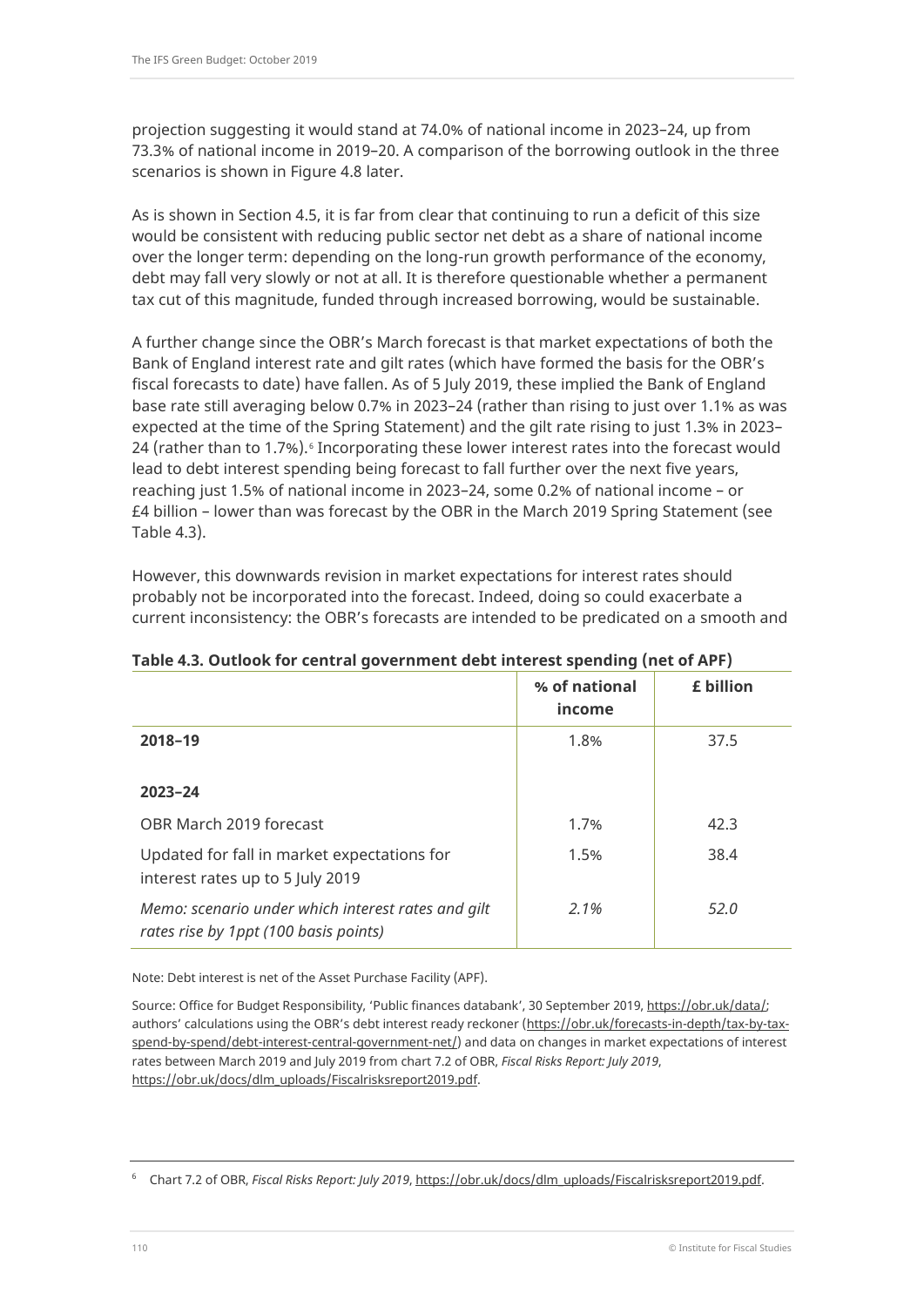projection suggesting it would stand at 74.0% of national income in 2023–24, up from 73.3% of national income in 2019–20. A comparison of the borrowing outlook in the three scenarios is shown in Figure 4.8 later.

As is shown in Section 4.5, it is far from clear that continuing to run a deficit of this size would be consistent with reducing public sector net debt as a share of national income over the longer term: depending on the long-run growth performance of the economy, debt may fall very slowly or not at all. It is therefore questionable whether a permanent tax cut of this magnitude, funded through increased borrowing, would be sustainable.

A further change since the OBR's March forecast is that market expectations of both the Bank of England interest rate and gilt rates (which have formed the basis for the OBR's fiscal forecasts to date) have fallen. As of 5 July 2019, these implied the Bank of England base rate still averaging below 0.7% in 2023–24 (rather than rising to just over 1.1% as was expected at the time of the Spring Statement) and the gilt rate rising to just 1.3% in 2023– 24 (rather than to 1.7%).<sup>[6](#page-13-0)</sup> Incorporating these lower interest rates into the forecast would lead to debt interest spending being forecast to fall further over the next five years, reaching just 1.5% of national income in 2023–24, some 0.2% of national income – or £4 billion – lower than was forecast by the OBR in the March 2019 Spring Statement (see Table 4.3).

However, this downwards revision in market expectations for interest rates should probably not be incorporated into the forecast. Indeed, doing so could exacerbate a current inconsistency: the OBR's forecasts are intended to be predicated on a smooth and

|                                                                                             | % of national<br>income | £ billion |
|---------------------------------------------------------------------------------------------|-------------------------|-----------|
| 2018-19                                                                                     | 1.8%                    | 37.5      |
| $2023 - 24$                                                                                 |                         |           |
| OBR March 2019 forecast                                                                     | 1.7%                    | 42.3      |
| Updated for fall in market expectations for<br>interest rates up to 5 July 2019             | 1.5%                    | 38.4      |
| Memo: scenario under which interest rates and gilt<br>rates rise by 1ppt (100 basis points) | $2.1\%$                 | 52.0      |

## **Table 4.3. Outlook for central government debt interest spending (net of APF)**

Note: Debt interest is net of the Asset Purchase Facility (APF).

Source: Office for Budget Responsibility, 'Public finances databank', 30 September 2019, [https://obr.uk/data/;](https://obr.uk/data/) authors' calculations using the OBR's debt interest ready reckoner [\(https://obr.uk/forecasts-in-depth/tax-by-tax](https://obr.uk/forecasts-in-depth/tax-by-tax-spend-by-spend/debt-interest-central-government-net/)[spend-by-spend/debt-interest-central-government-net/\)](https://obr.uk/forecasts-in-depth/tax-by-tax-spend-by-spend/debt-interest-central-government-net/) and data on changes in market expectations of interest rates between March 2019 and July 2019 from chart 7.2 of OBR, *Fiscal Risks Report: July 2019*, [https://obr.uk/docs/dlm\\_uploads/Fiscalrisksreport2019.pdf.](https://obr.uk/docs/dlm_uploads/Fiscalrisksreport2019.pdf) 

<span id="page-13-0"></span><sup>6</sup> Chart 7.2 of OBR, *Fiscal Risks Report: July 2019*[, https://obr.uk/docs/dlm\\_uploads/Fiscalrisksreport2019.pdf.](https://obr.uk/docs/dlm_uploads/Fiscalrisksreport2019.pdf)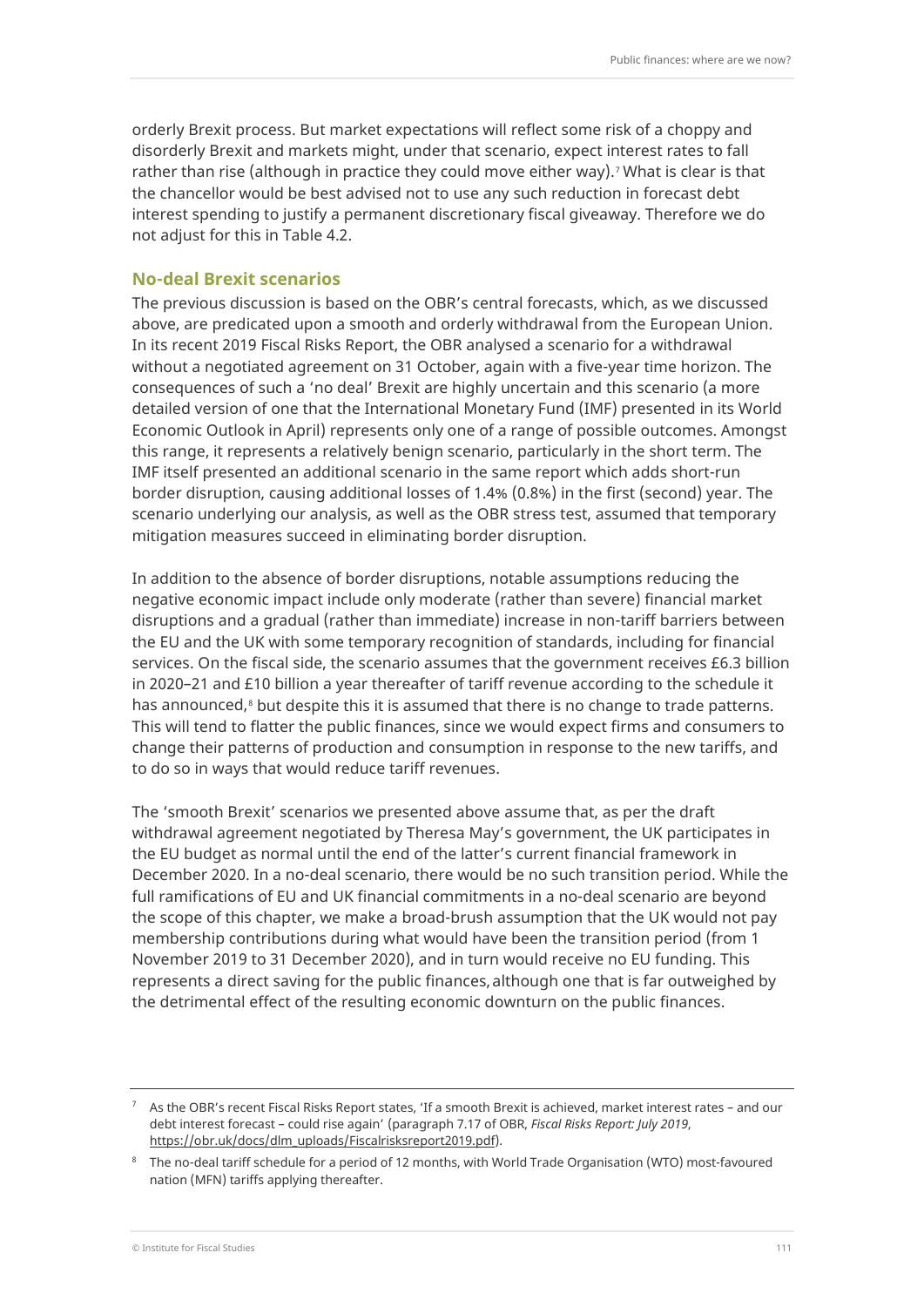orderly Brexit process. But market expectations will reflect some risk of a choppy and disorderly Brexit and markets might, under that scenario, expect interest rates to fall rather than rise (although in practice they could move either way).<sup>[7](#page-14-0)</sup> What is clear is that the chancellor would be best advised not to use any such reduction in forecast debt interest spending to justify a permanent discretionary fiscal giveaway. Therefore we do not adjust for this in Table 4.2.

#### **No-deal Brexit scenarios**

The previous discussion is based on the OBR's central forecasts, which, as we discussed above, are predicated upon a smooth and orderly withdrawal from the European Union. In its recent 2019 Fiscal Risks Report, the OBR analysed a scenario for a withdrawal without a negotiated agreement on 31 October, again with a five-year time horizon. The consequences of such a 'no deal' Brexit are highly uncertain and this scenario (a more detailed version of one that the International Monetary Fund (IMF) presented in its World Economic Outlook in April) represents only one of a range of possible outcomes. Amongst this range, it represents a relatively benign scenario, particularly in the short term. The IMF itself presented an additional scenario in the same report which adds short-run border disruption, causing additional losses of 1.4% (0.8%) in the first (second) year. The scenario underlying our analysis, as well as the OBR stress test, assumed that temporary mitigation measures succeed in eliminating border disruption.

In addition to the absence of border disruptions, notable assumptions reducing the negative economic impact include only moderate (rather than severe) financial market disruptions and a gradual (rather than immediate) increase in non-tariff barriers between the EU and the UK with some temporary recognition of standards, including for financial services. On the fiscal side, the scenario assumes that the government receives £6.3 billion in 2020–21 and £10 billion a year thereafter of tariff revenue according to the schedule it has announced, $8$  but despite this it is assumed that there is no change to trade patterns. This will tend to flatter the public finances, since we would expect firms and consumers to change their patterns of production and consumption in response to the new tariffs, and to do so in ways that would reduce tariff revenues.

The 'smooth Brexit' scenarios we presented above assume that, as per the draft withdrawal agreement negotiated by Theresa May's government, the UK participates in the EU budget as normal until the end of the latter's current financial framework in December 2020. In a no-deal scenario, there would be no such transition period. While the full ramifications of EU and UK financial commitments in a no-deal scenario are beyond the scope of this chapter, we make a broad-brush assumption that the UK would not pay membership contributions during what would have been the transition period (from 1 November 2019 to 31 December 2020), and in turn would receive no EU funding. This represents a direct saving for the public finances,although one that is far outweighed by the detrimental effect of the resulting economic downturn on the public finances.

<span id="page-14-0"></span> $7$  As the OBR's recent Fiscal Risks Report states, 'If a smooth Brexit is achieved, market interest rates – and our debt interest forecast – could rise again' (paragraph 7.17 of OBR, *Fiscal Risks Report: July 2019*, [https://obr.uk/docs/dlm\\_uploads/Fiscalrisksreport2019.pdf\)](https://obr.uk/docs/dlm_uploads/Fiscalrisksreport2019.pdf).

<span id="page-14-1"></span><sup>&</sup>lt;sup>8</sup> The no-deal tariff schedule for a period of 12 months, with World Trade Organisation (WTO) most-favoured nation (MFN) tariffs applying thereafter.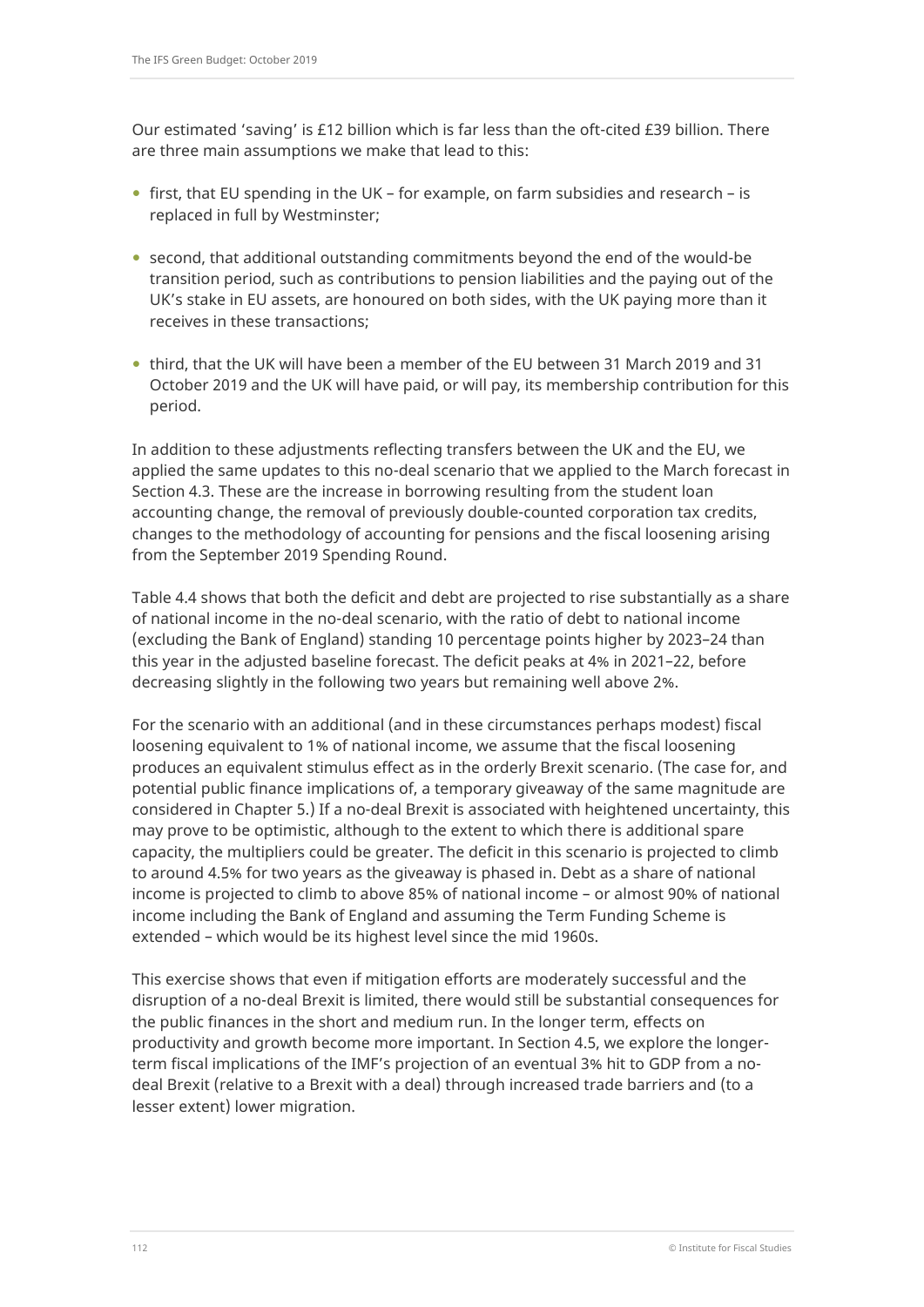Our estimated 'saving' is £12 billion which is far less than the oft-cited £39 billion. There are three main assumptions we make that lead to this:

- first, that EU spending in the UK for example, on farm subsidies and research is replaced in full by Westminster;
- second, that additional outstanding commitments beyond the end of the would-be transition period, such as contributions to pension liabilities and the paying out of the UK's stake in EU assets, are honoured on both sides, with the UK paying more than it receives in these transactions;
- third, that the UK will have been a member of the EU between 31 March 2019 and 31 October 2019 and the UK will have paid, or will pay, its membership contribution for this period.

In addition to these adjustments reflecting transfers between the UK and the EU, we applied the same updates to this no-deal scenario that we applied to the March forecast in Section 4.3. These are the increase in borrowing resulting from the student loan accounting change, the removal of previously double-counted corporation tax credits, changes to the methodology of accounting for pensions and the fiscal loosening arising from the September 2019 Spending Round.

Table 4.4 shows that both the deficit and debt are projected to rise substantially as a share of national income in the no-deal scenario, with the ratio of debt to national income (excluding the Bank of England) standing 10 percentage points higher by 2023–24 than this year in the adjusted baseline forecast. The deficit peaks at 4% in 2021–22, before decreasing slightly in the following two years but remaining well above 2%.

For the scenario with an additional (and in these circumstances perhaps modest) fiscal loosening equivalent to 1% of national income, we assume that the fiscal loosening produces an equivalent stimulus effect as in the orderly Brexit scenario. (The case for, and potential public finance implications of, a temporary giveaway of the same magnitude are considered in Chapter 5.) If a no-deal Brexit is associated with heightened uncertainty, this may prove to be optimistic, although to the extent to which there is additional spare capacity, the multipliers could be greater. The deficit in this scenario is projected to climb to around 4.5% for two years as the giveaway is phased in. Debt as a share of national income is projected to climb to above 85% of national income – or almost 90% of national income including the Bank of England and assuming the Term Funding Scheme is extended – which would be its highest level since the mid 1960s.

This exercise shows that even if mitigation efforts are moderately successful and the disruption of a no-deal Brexit is limited, there would still be substantial consequences for the public finances in the short and medium run. In the longer term, effects on productivity and growth become more important. In Section 4.5, we explore the longerterm fiscal implications of the IMF's projection of an eventual 3% hit to GDP from a nodeal Brexit (relative to a Brexit with a deal) through increased trade barriers and (to a lesser extent) lower migration.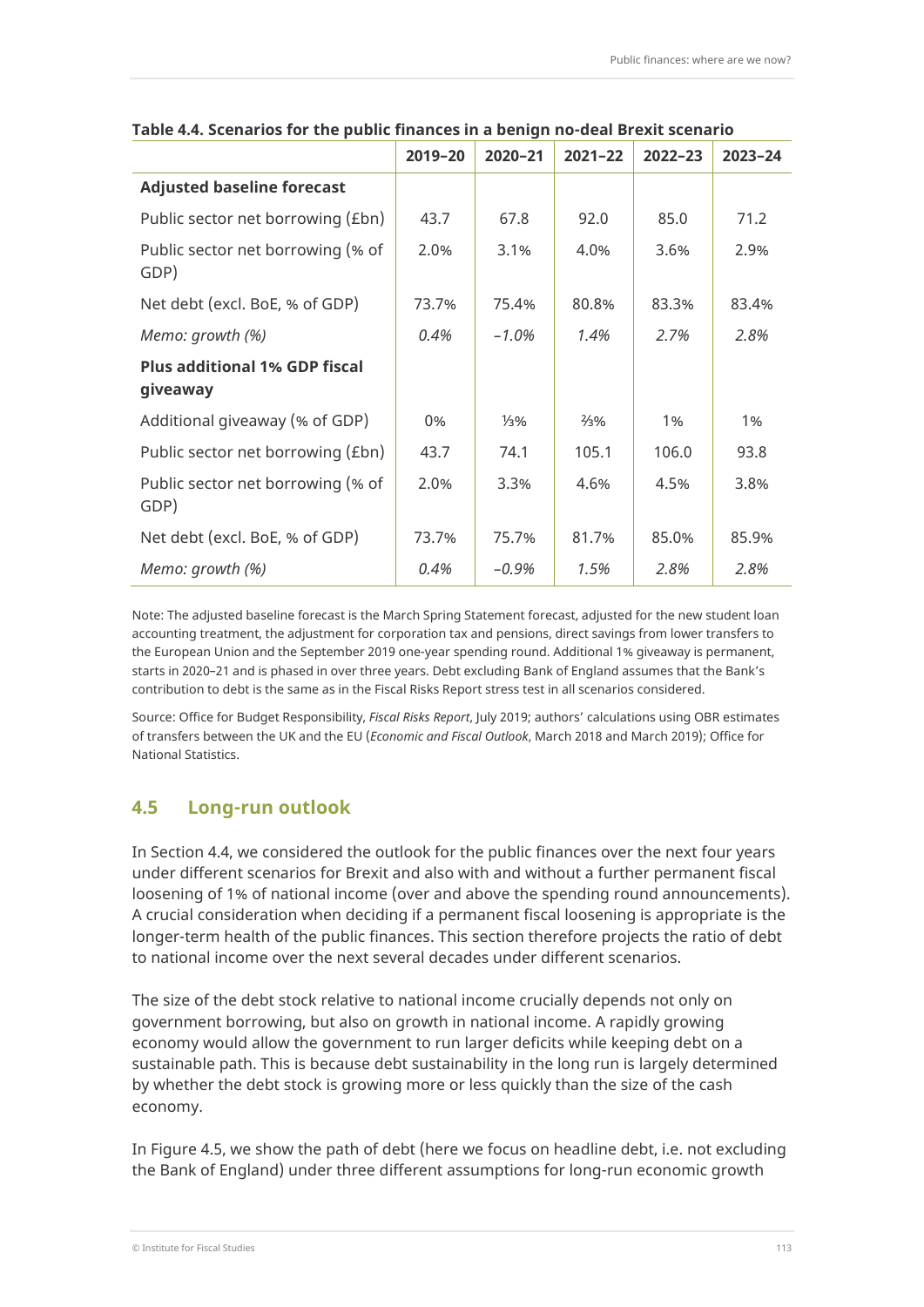|                                                  | 2019-20 | 2020-21         | $2021 - 22$     | $2022 - 23$ | 2023-24 |
|--------------------------------------------------|---------|-----------------|-----------------|-------------|---------|
| <b>Adjusted baseline forecast</b>                |         |                 |                 |             |         |
| Public sector net borrowing (£bn)                | 43.7    | 67.8            | 92.0            | 85.0        | 71.2    |
| Public sector net borrowing (% of<br>GDP)        | 2.0%    | 3.1%            | 4.0%            | 3.6%        | 2.9%    |
| Net debt (excl. BoE, % of GDP)                   | 73.7%   | 75.4%           | 80.8%           | 83.3%       | 83.4%   |
| Memo: growth (%)                                 | 0.4%    | $-1.0\%$        | 1.4%            | 2.7%        | 2.8%    |
| <b>Plus additional 1% GDP fiscal</b><br>giveaway |         |                 |                 |             |         |
| Additional giveaway (% of GDP)                   | 0%      | $\frac{1}{3}$ % | $\frac{2}{3}\%$ | 1%          | 1%      |
| Public sector net borrowing (£bn)                | 43.7    | 74.1            | 105.1           | 106.0       | 93.8    |
| Public sector net borrowing (% of<br>GDP)        | 2.0%    | 3.3%            | 4.6%            | 4.5%        | 3.8%    |
| Net debt (excl. BoE, % of GDP)                   | 73.7%   | 75.7%           | 81.7%           | 85.0%       | 85.9%   |
| Memo: growth (%)                                 | 0.4%    | -0.9%           | 1.5%            | 2.8%        | 2.8%    |

#### **Table 4.4. Scenarios for the public finances in a benign no-deal Brexit scenario**

Note: The adjusted baseline forecast is the March Spring Statement forecast, adjusted for the new student loan accounting treatment, the adjustment for corporation tax and pensions, direct savings from lower transfers to the European Union and the September 2019 one-year spending round. Additional 1% giveaway is permanent, starts in 2020–21 and is phased in over three years. Debt excluding Bank of England assumes that the Bank's contribution to debt is the same as in the Fiscal Risks Report stress test in all scenarios considered.

Source: Office for Budget Responsibility, *Fiscal Risks Report*, July 2019; authors' calculations using OBR estimates of transfers between the UK and the EU (*Economic and Fiscal Outlook*, March 2018 and March 2019); Office for National Statistics.

## **4.5 Long-run outlook**

In Section 4.4, we considered the outlook for the public finances over the next four years under different scenarios for Brexit and also with and without a further permanent fiscal loosening of 1% of national income (over and above the spending round announcements). A crucial consideration when deciding if a permanent fiscal loosening is appropriate is the longer-term health of the public finances. This section therefore projects the ratio of debt to national income over the next several decades under different scenarios.

The size of the debt stock relative to national income crucially depends not only on government borrowing, but also on growth in national income. A rapidly growing economy would allow the government to run larger deficits while keeping debt on a sustainable path. This is because debt sustainability in the long run is largely determined by whether the debt stock is growing more or less quickly than the size of the cash economy.

In Figure 4.5, we show the path of debt (here we focus on headline debt, i.e. not excluding the Bank of England) under three different assumptions for long-run economic growth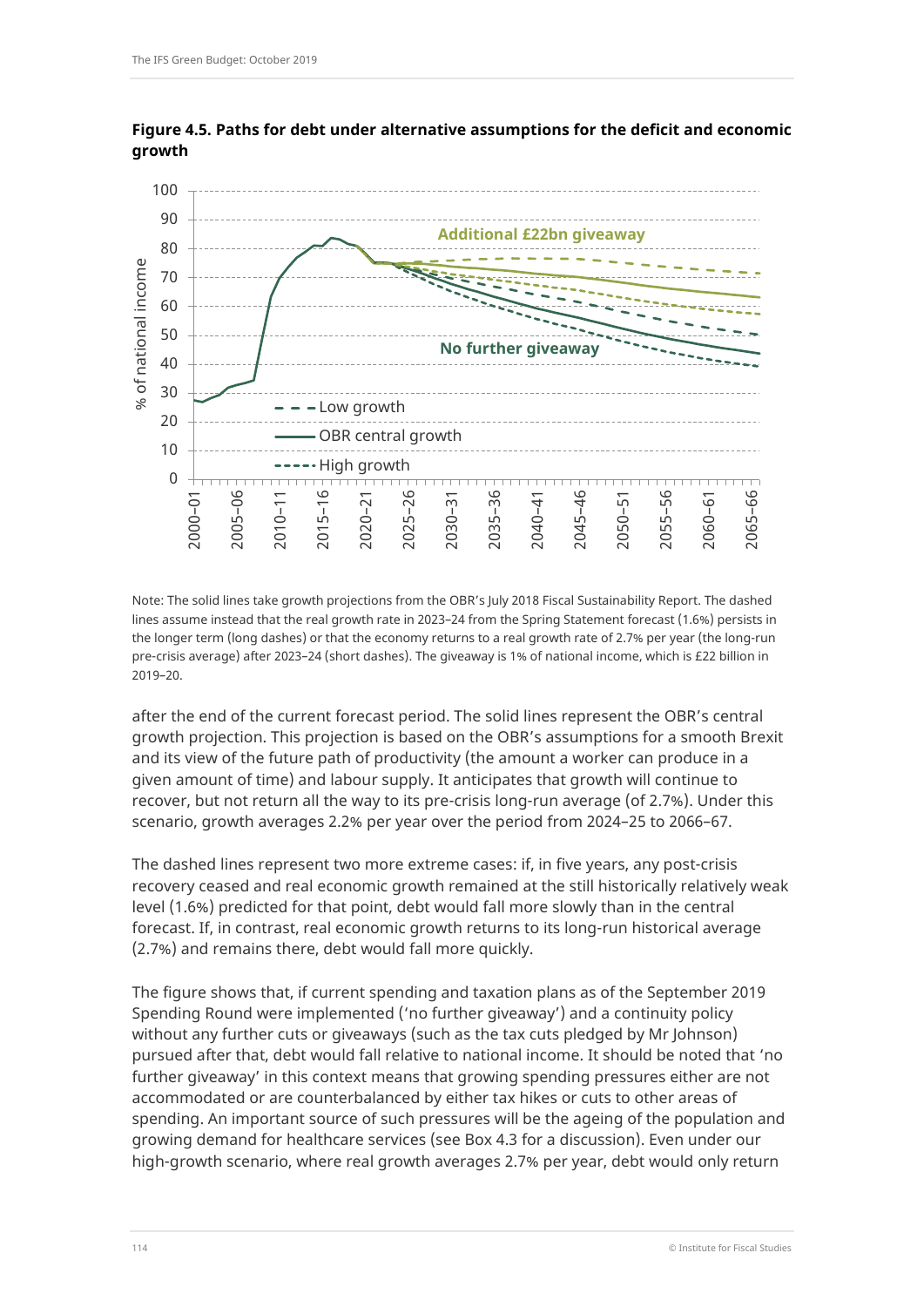

**Figure 4.5. Paths for debt under alternative assumptions for the deficit and economic growth**

Note: The solid lines take growth projections from the OBR's July 2018 Fiscal Sustainability Report. The dashed lines assume instead that the real growth rate in 2023–24 from the Spring Statement forecast (1.6%) persists in the longer term (long dashes) or that the economy returns to a real growth rate of 2.7% per year (the long-run pre-crisis average) after 2023–24 (short dashes). The giveaway is 1% of national income, which is £22 billion in 2019–20.

after the end of the current forecast period. The solid lines represent the OBR's central growth projection. This projection is based on the OBR's assumptions for a smooth Brexit and its view of the future path of productivity (the amount a worker can produce in a given amount of time) and labour supply. It anticipates that growth will continue to recover, but not return all the way to its pre-crisis long-run average (of 2.7%). Under this scenario, growth averages 2.2% per year over the period from 2024–25 to 2066–67.

The dashed lines represent two more extreme cases: if, in five years, any post-crisis recovery ceased and real economic growth remained at the still historically relatively weak level (1.6%) predicted for that point, debt would fall more slowly than in the central forecast. If, in contrast, real economic growth returns to its long-run historical average (2.7%) and remains there, debt would fall more quickly.

The figure shows that, if current spending and taxation plans as of the September 2019 Spending Round were implemented ('no further giveaway') and a continuity policy without any further cuts or giveaways (such as the tax cuts pledged by Mr Johnson) pursued after that, debt would fall relative to national income. It should be noted that 'no further giveaway' in this context means that growing spending pressures either are not accommodated or are counterbalanced by either tax hikes or cuts to other areas of spending. An important source of such pressures will be the ageing of the population and growing demand for healthcare services (see Box 4.3 for a discussion). Even under our high-growth scenario, where real growth averages 2.7% per year, debt would only return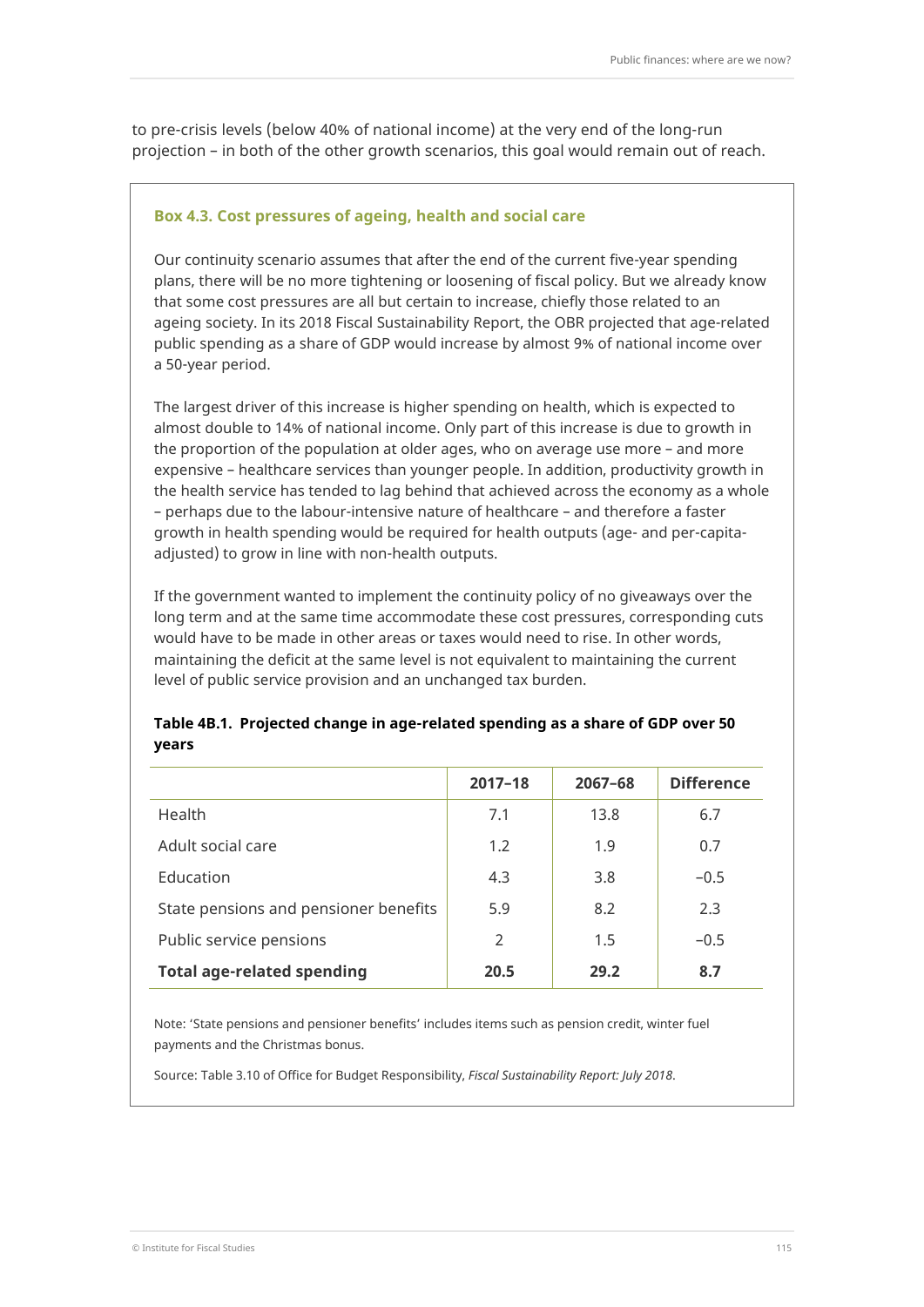to pre-crisis levels (below 40% of national income) at the very end of the long-run projection – in both of the other growth scenarios, this goal would remain out of reach.

#### **Box 4.3. Cost pressures of ageing, health and social care**

Our continuity scenario assumes that after the end of the current five-year spending plans, there will be no more tightening or loosening of fiscal policy. But we already know that some cost pressures are all but certain to increase, chiefly those related to an ageing society. In its 2018 Fiscal Sustainability Report, the OBR projected that age-related public spending as a share of GDP would increase by almost 9% of national income over a 50-year period.

The largest driver of this increase is higher spending on health, which is expected to almost double to 14% of national income. Only part of this increase is due to growth in the proportion of the population at older ages, who on average use more – and more expensive – healthcare services than younger people. In addition, productivity growth in the health service has tended to lag behind that achieved across the economy as a whole – perhaps due to the labour-intensive nature of healthcare – and therefore a faster growth in health spending would be required for health outputs (age- and per-capitaadjusted) to grow in line with non-health outputs.

If the government wanted to implement the continuity policy of no giveaways over the long term and at the same time accommodate these cost pressures, corresponding cuts would have to be made in other areas or taxes would need to rise. In other words, maintaining the deficit at the same level is not equivalent to maintaining the current level of public service provision and an unchanged tax burden.

### **Table 4B.1. Projected change in age-related spending as a share of GDP over 50 years**

|                                       | $2017 - 18$ | $2067 - 68$ | <b>Difference</b> |
|---------------------------------------|-------------|-------------|-------------------|
| Health                                | 7.1         | 13.8        | 6.7               |
| Adult social care                     | 1.2         | 1.9         | 0.7               |
| Education                             | 4.3         | 3.8         | $-0.5$            |
| State pensions and pensioner benefits | 5.9         | 8.2         | 2.3               |
| Public service pensions               | 2           | 1.5         | $-0.5$            |
| <b>Total age-related spending</b>     | 20.5        | 29.2        | 8.7               |

Note: 'State pensions and pensioner benefits' includes items such as pension credit, winter fuel payments and the Christmas bonus.

Source: Table 3.10 of Office for Budget Responsibility, *Fiscal Sustainability Report: July 2018*.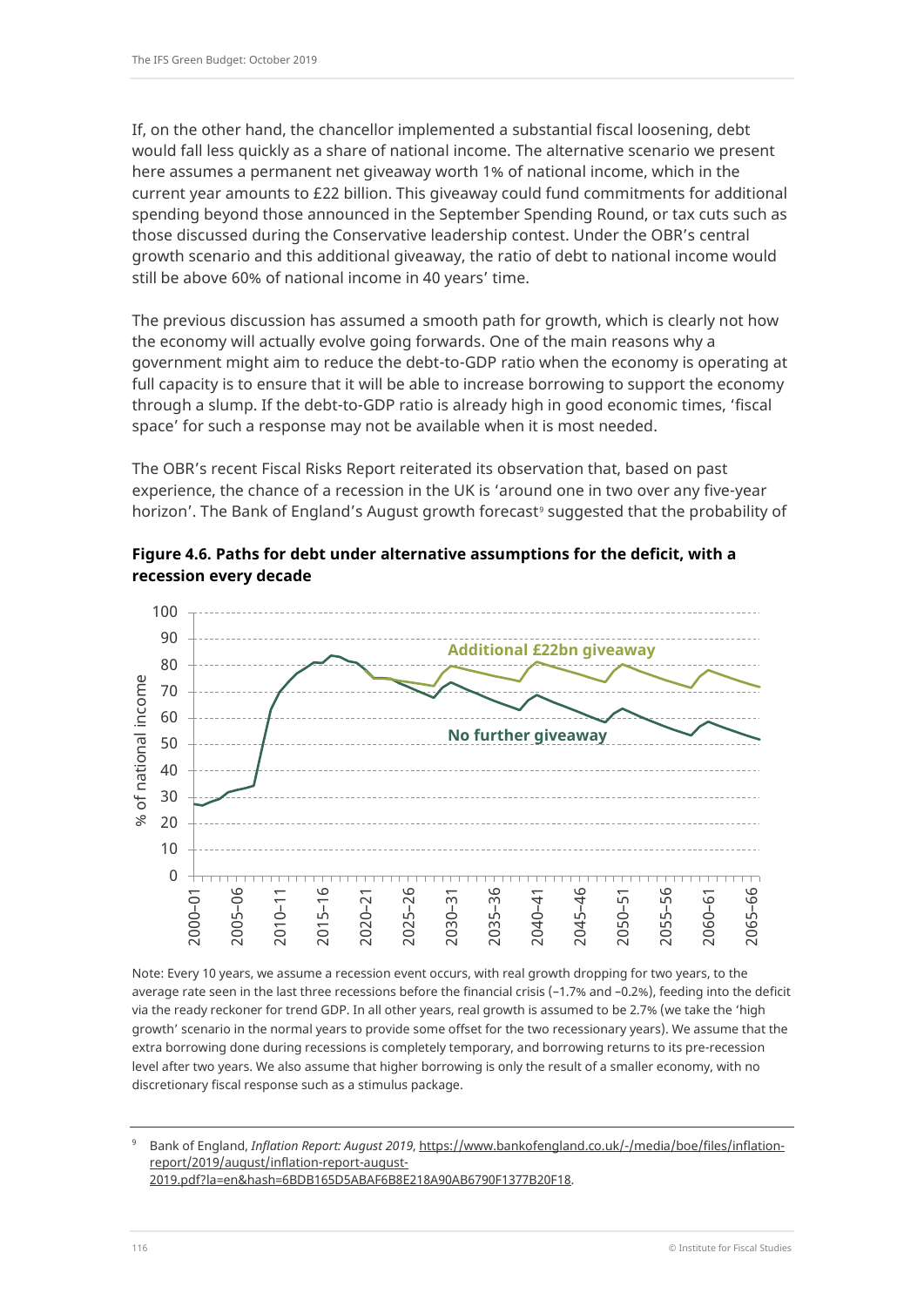If, on the other hand, the chancellor implemented a substantial fiscal loosening, debt would fall less quickly as a share of national income. The alternative scenario we present here assumes a permanent net giveaway worth 1% of national income, which in the current year amounts to £22 billion. This giveaway could fund commitments for additional spending beyond those announced in the September Spending Round, or tax cuts such as those discussed during the Conservative leadership contest. Under the OBR's central growth scenario and this additional giveaway, the ratio of debt to national income would still be above 60% of national income in 40 years' time.

The previous discussion has assumed a smooth path for growth, which is clearly not how the economy will actually evolve going forwards. One of the main reasons why a government might aim to reduce the debt-to-GDP ratio when the economy is operating at full capacity is to ensure that it will be able to increase borrowing to support the economy through a slump. If the debt-to-GDP ratio is already high in good economic times, 'fiscal space' for such a response may not be available when it is most needed.

The OBR's recent Fiscal Risks Report reiterated its observation that, based on past experience, the chance of a recession in the UK is 'around one in two over any five-year horizon'. The Bank of England's August growth forecast<sup>[9](#page-19-0)</sup> suggested that the probability of





Note: Every 10 years, we assume a recession event occurs, with real growth dropping for two years, to the average rate seen in the last three recessions before the financial crisis (–1.7% and –0.2%), feeding into the deficit via the ready reckoner for trend GDP. In all other years, real growth is assumed to be 2.7% (we take the 'high growth' scenario in the normal years to provide some offset for the two recessionary years). We assume that the extra borrowing done during recessions is completely temporary, and borrowing returns to its pre-recession level after two years. We also assume that higher borrowing is only the result of a smaller economy, with no discretionary fiscal response such as a stimulus package.

<span id="page-19-0"></span><sup>9</sup> Bank of England, *Inflation Report: August 2019*[, https://www.bankofengland.co.uk/-/media/boe/files/inflation](https://www.bankofengland.co.uk/-/media/boe/files/inflation-report/2019/august/inflation-report-august-2019.pdf?la=en&hash=6BDB165D5ABAF6B8E218A90AB6790F1377B20F18)[report/2019/august/inflation-report-august-](https://www.bankofengland.co.uk/-/media/boe/files/inflation-report/2019/august/inflation-report-august-2019.pdf?la=en&hash=6BDB165D5ABAF6B8E218A90AB6790F1377B20F18)[2019.pdf?la=en&hash=6BDB165D5ABAF6B8E218A90AB6790F1377B20F18.](https://www.bankofengland.co.uk/-/media/boe/files/inflation-report/2019/august/inflation-report-august-2019.pdf?la=en&hash=6BDB165D5ABAF6B8E218A90AB6790F1377B20F18)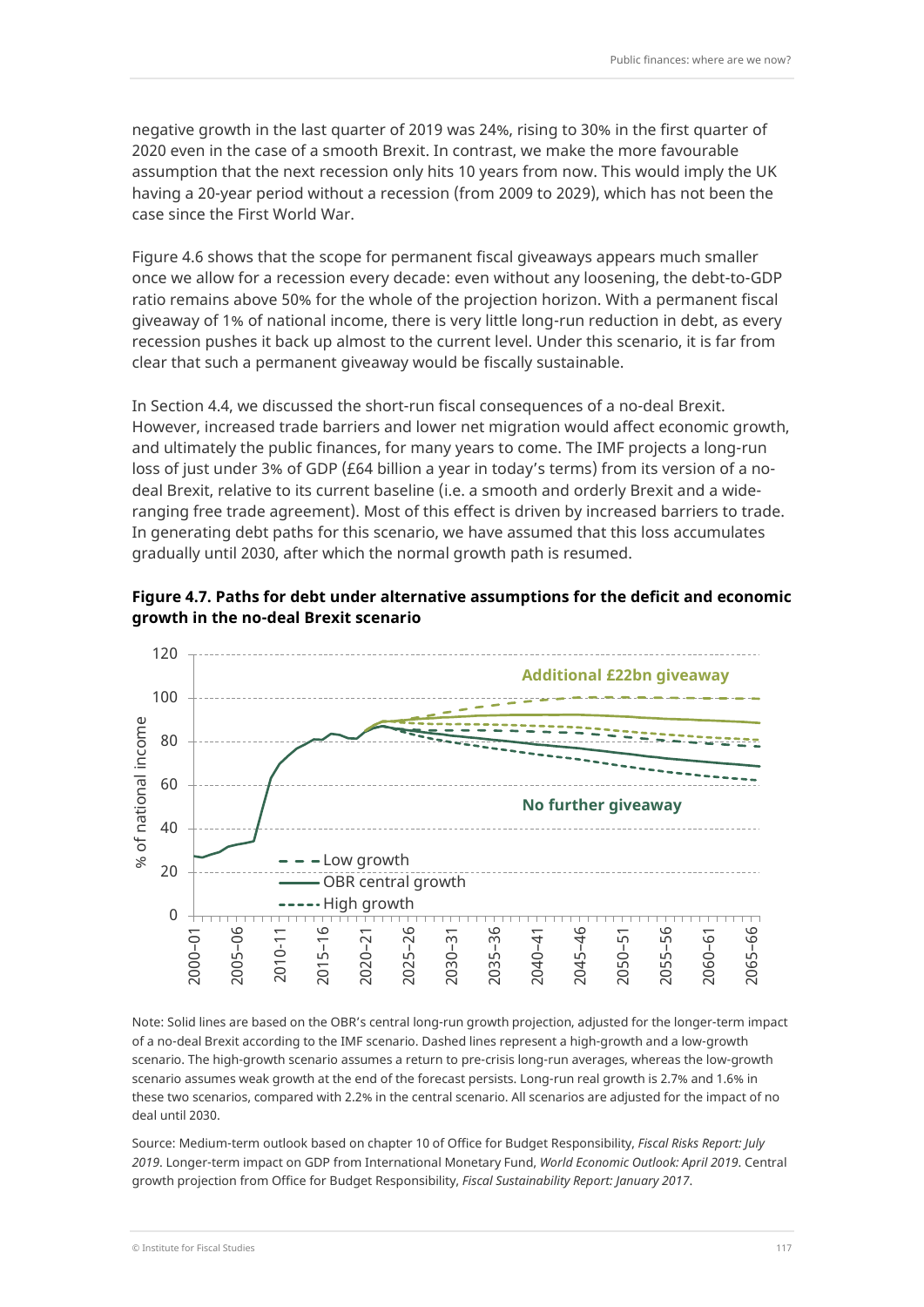negative growth in the last quarter of 2019 was 24%, rising to 30% in the first quarter of 2020 even in the case of a smooth Brexit. In contrast, we make the more favourable assumption that the next recession only hits 10 years from now. This would imply the UK having a 20-year period without a recession (from 2009 to 2029), which has not been the case since the First World War.

Figure 4.6 shows that the scope for permanent fiscal giveaways appears much smaller once we allow for a recession every decade: even without any loosening, the debt-to-GDP ratio remains above 50% for the whole of the projection horizon. With a permanent fiscal giveaway of 1% of national income, there is very little long-run reduction in debt, as every recession pushes it back up almost to the current level. Under this scenario, it is far from clear that such a permanent giveaway would be fiscally sustainable.

In Section 4.4, we discussed the short-run fiscal consequences of a no-deal Brexit. However, increased trade barriers and lower net migration would affect economic growth, and ultimately the public finances, for many years to come. The IMF projects a long-run loss of just under 3% of GDP (£64 billion a year in today's terms) from its version of a nodeal Brexit, relative to its current baseline (i.e. a smooth and orderly Brexit and a wideranging free trade agreement). Most of this effect is driven by increased barriers to trade. In generating debt paths for this scenario, we have assumed that this loss accumulates gradually until 2030, after which the normal growth path is resumed.





Note: Solid lines are based on the OBR's central long-run growth projection, adjusted for the longer-term impact of a no-deal Brexit according to the IMF scenario. Dashed lines represent a high-growth and a low-growth scenario. The high-growth scenario assumes a return to pre-crisis long-run averages, whereas the low-growth scenario assumes weak growth at the end of the forecast persists. Long-run real growth is 2.7% and 1.6% in these two scenarios, compared with 2.2% in the central scenario. All scenarios are adjusted for the impact of no deal until 2030.

Source: Medium-term outlook based on chapter 10 of Office for Budget Responsibility, *Fiscal Risks Report: July 2019*. Longer-term impact on GDP from International Monetary Fund, *World Economic Outlook: April 2019*. Central growth projection from Office for Budget Responsibility, *Fiscal Sustainability Report: January 2017*.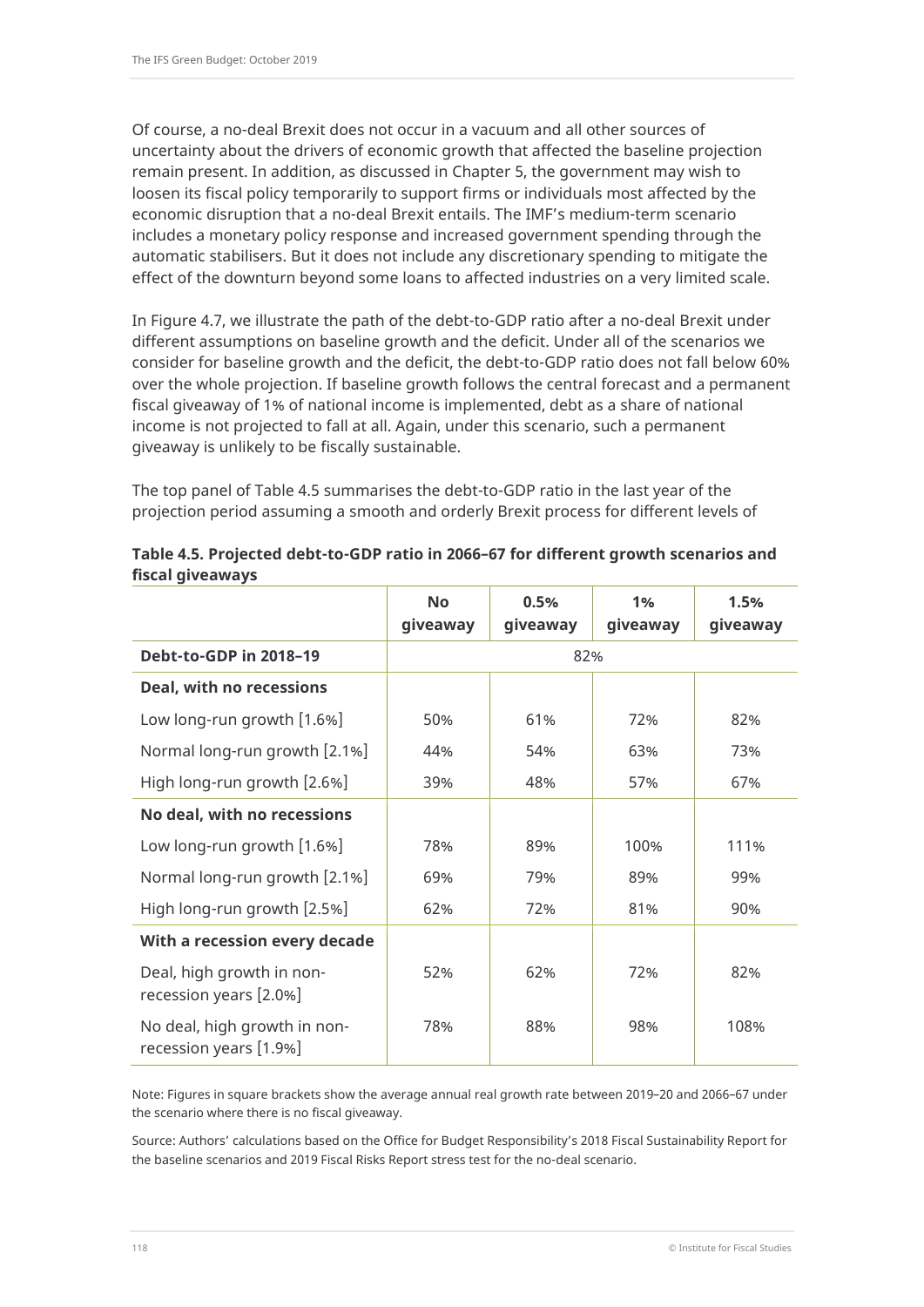Of course, a no-deal Brexit does not occur in a vacuum and all other sources of uncertainty about the drivers of economic growth that affected the baseline projection remain present. In addition, as discussed in Chapter 5, the government may wish to loosen its fiscal policy temporarily to support firms or individuals most affected by the economic disruption that a no-deal Brexit entails. The IMF's medium-term scenario includes a monetary policy response and increased government spending through the automatic stabilisers. But it does not include any discretionary spending to mitigate the effect of the downturn beyond some loans to affected industries on a very limited scale.

In Figure 4.7, we illustrate the path of the debt-to-GDP ratio after a no-deal Brexit under different assumptions on baseline growth and the deficit. Under all of the scenarios we consider for baseline growth and the deficit, the debt-to-GDP ratio does not fall below 60% over the whole projection. If baseline growth follows the central forecast and a permanent fiscal giveaway of 1% of national income is implemented, debt as a share of national income is not projected to fall at all. Again, under this scenario, such a permanent giveaway is unlikely to be fiscally sustainable.

The top panel of Table 4.5 summarises the debt-to-GDP ratio in the last year of the projection period assuming a smooth and orderly Brexit process for different levels of

|                                                        | <b>No</b> | 0.5%     | 1%       | 1.5%     |
|--------------------------------------------------------|-----------|----------|----------|----------|
|                                                        | giveaway  | giveaway | giveaway | giveaway |
| Debt-to-GDP in 2018-19                                 | 82%       |          |          |          |
| Deal, with no recessions                               |           |          |          |          |
| Low long-run growth [1.6%]                             | 50%       | 61%      | 72%      | 82%      |
| Normal long-run growth [2.1%]                          | 44%       | 54%      | 63%      | 73%      |
| High long-run growth [2.6%]                            | 39%       | 48%      | 57%      | 67%      |
| No deal, with no recessions                            |           |          |          |          |
| Low long-run growth [1.6%]                             | 78%       | 89%      | 100%     | 111%     |
| Normal long-run growth [2.1%]                          | 69%       | 79%      | 89%      | 99%      |
| High long-run growth [2.5%]                            | 62%       | 72%      | 81%      | 90%      |
| With a recession every decade                          |           |          |          |          |
| Deal, high growth in non-<br>recession years [2.0%]    | 52%       | 62%      | 72%      | 82%      |
| No deal, high growth in non-<br>recession years [1.9%] | 78%       | 88%      | 98%      | 108%     |

#### **Table 4.5. Projected debt-to-GDP ratio in 2066–67 for different growth scenarios and fiscal giveaways**

Note: Figures in square brackets show the average annual real growth rate between 2019–20 and 2066–67 under the scenario where there is no fiscal giveaway.

Source: Authors' calculations based on the Office for Budget Responsibility's 2018 Fiscal Sustainability Report for the baseline scenarios and 2019 Fiscal Risks Report stress test for the no-deal scenario.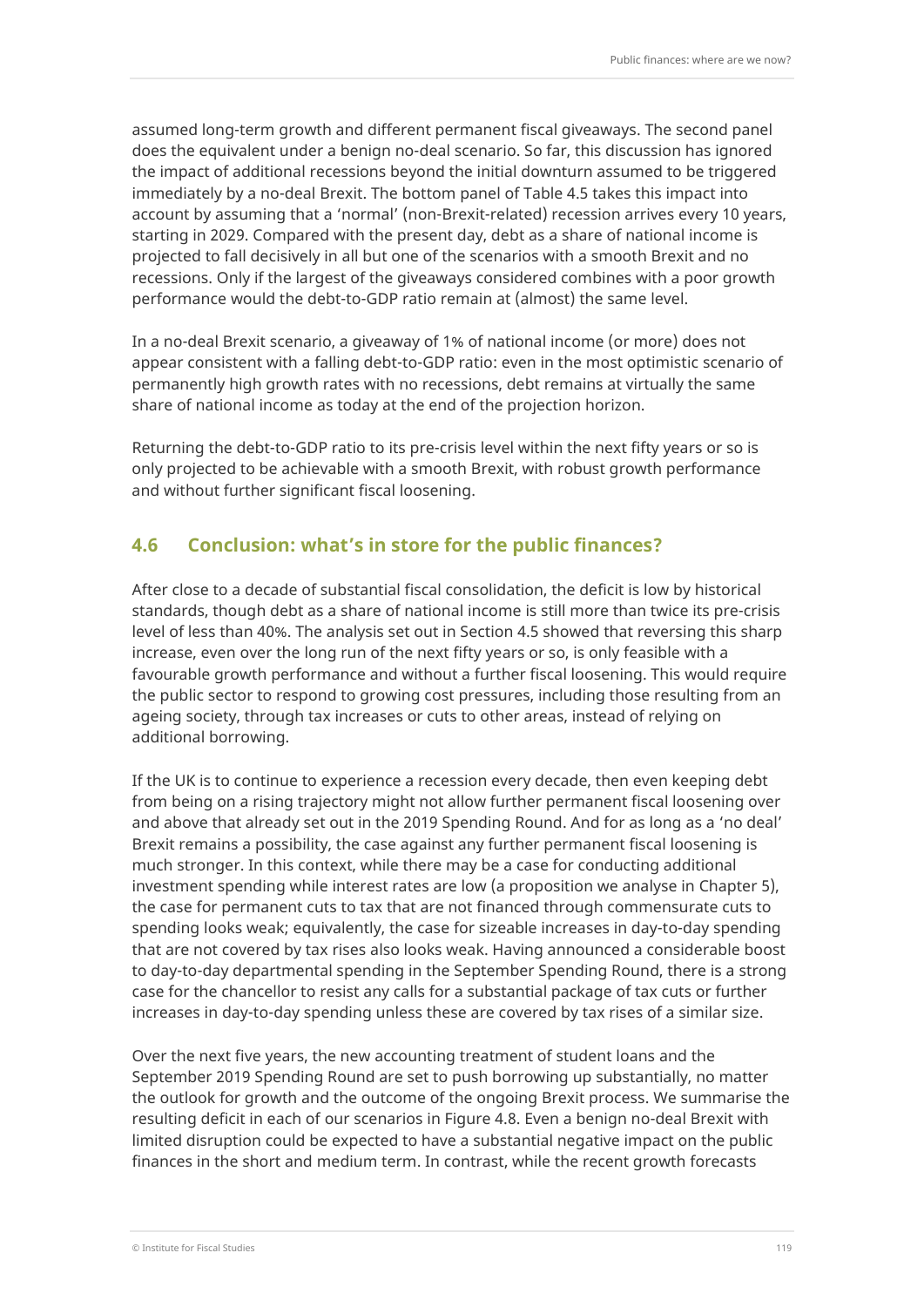assumed long-term growth and different permanent fiscal giveaways. The second panel does the equivalent under a benign no-deal scenario. So far, this discussion has ignored the impact of additional recessions beyond the initial downturn assumed to be triggered immediately by a no-deal Brexit. The bottom panel of Table 4.5 takes this impact into account by assuming that a 'normal' (non-Brexit-related) recession arrives every 10 years, starting in 2029. Compared with the present day, debt as a share of national income is projected to fall decisively in all but one of the scenarios with a smooth Brexit and no recessions. Only if the largest of the giveaways considered combines with a poor growth performance would the debt-to-GDP ratio remain at (almost) the same level.

In a no-deal Brexit scenario, a giveaway of 1% of national income (or more) does not appear consistent with a falling debt-to-GDP ratio: even in the most optimistic scenario of permanently high growth rates with no recessions, debt remains at virtually the same share of national income as today at the end of the projection horizon.

Returning the debt-to-GDP ratio to its pre-crisis level within the next fifty years or so is only projected to be achievable with a smooth Brexit, with robust growth performance and without further significant fiscal loosening.

## **4.6 Conclusion: what's in store for the public finances?**

After close to a decade of substantial fiscal consolidation, the deficit is low by historical standards, though debt as a share of national income is still more than twice its pre-crisis level of less than 40%. The analysis set out in Section 4.5 showed that reversing this sharp increase, even over the long run of the next fifty years or so, is only feasible with a favourable growth performance and without a further fiscal loosening. This would require the public sector to respond to growing cost pressures, including those resulting from an ageing society, through tax increases or cuts to other areas, instead of relying on additional borrowing.

If the UK is to continue to experience a recession every decade, then even keeping debt from being on a rising trajectory might not allow further permanent fiscal loosening over and above that already set out in the 2019 Spending Round. And for as long as a 'no deal' Brexit remains a possibility, the case against any further permanent fiscal loosening is much stronger. In this context, while there may be a case for conducting additional investment spending while interest rates are low (a proposition we analyse in Chapter 5), the case for permanent cuts to tax that are not financed through commensurate cuts to spending looks weak; equivalently, the case for sizeable increases in day-to-day spending that are not covered by tax rises also looks weak. Having announced a considerable boost to day-to-day departmental spending in the September Spending Round, there is a strong case for the chancellor to resist any calls for a substantial package of tax cuts or further increases in day-to-day spending unless these are covered by tax rises of a similar size.

Over the next five years, the new accounting treatment of student loans and the September 2019 Spending Round are set to push borrowing up substantially, no matter the outlook for growth and the outcome of the ongoing Brexit process. We summarise the resulting deficit in each of our scenarios in Figure 4.8. Even a benign no-deal Brexit with limited disruption could be expected to have a substantial negative impact on the public finances in the short and medium term. In contrast, while the recent growth forecasts